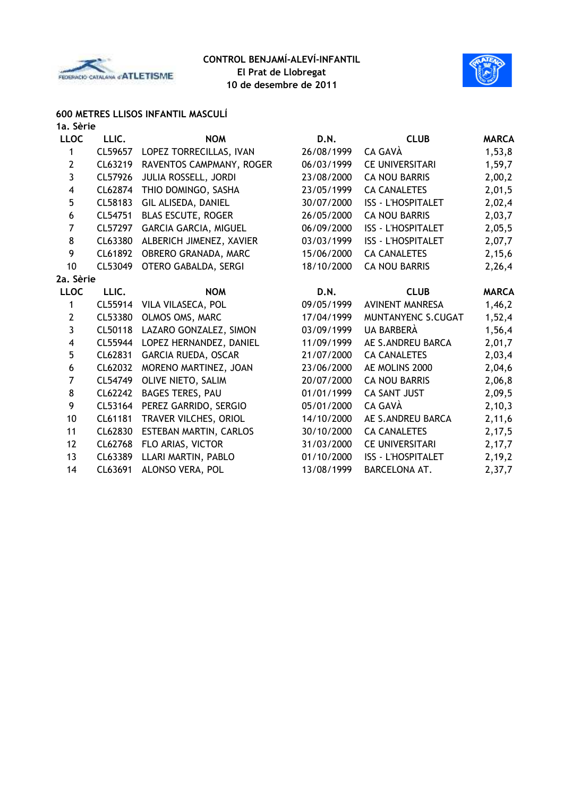



## **600 METRES LLISOS INFANTIL MASCULÍ**

| 1a. Sèrie      |         |                          |            |                           |              |
|----------------|---------|--------------------------|------------|---------------------------|--------------|
| <b>LLOC</b>    | LLIC.   | <b>NOM</b>               | D.N.       | <b>CLUB</b>               | <b>MARCA</b> |
| 1              | CL59657 | LOPEZ TORRECILLAS, IVAN  | 26/08/1999 | CA GAVÀ                   | 1,53,8       |
| $\overline{2}$ | CL63219 | RAVENTOS CAMPMANY, ROGER | 06/03/1999 | <b>CE UNIVERSITARI</b>    | 1,59,7       |
| 3              | CL57926 | JULIA ROSSELL, JORDI     | 23/08/2000 | <b>CA NOU BARRIS</b>      | 2,00,2       |
| 4              | CL62874 | THIO DOMINGO, SASHA      | 23/05/1999 | <b>CA CANALETES</b>       | 2,01,5       |
| 5              | CL58183 | GIL ALISEDA, DANIEL      | 30/07/2000 | <b>ISS - L'HOSPITALET</b> | 2,02,4       |
| 6              | CL54751 | BLAS ESCUTE, ROGER       | 26/05/2000 | <b>CA NOU BARRIS</b>      | 2,03,7       |
| 7              | CL57297 | GARCIA GARCIA, MIGUEL    | 06/09/2000 | <b>ISS - L'HOSPITALET</b> | 2,05,5       |
| 8              | CL63380 | ALBERICH JIMENEZ, XAVIER | 03/03/1999 | <b>ISS - L'HOSPITALET</b> | 2,07,7       |
| 9              | CL61892 | OBRERO GRANADA, MARC     | 15/06/2000 | <b>CA CANALETES</b>       | 2,15,6       |
| 10             | CL53049 | OTERO GABALDA, SERGI     | 18/10/2000 | <b>CA NOU BARRIS</b>      | 2,26,4       |
| 2a. Sèrie      |         |                          |            |                           |              |
| <b>LLOC</b>    | LLIC.   | <b>NOM</b>               | D.N.       | <b>CLUB</b>               | <b>MARCA</b> |
| 1              | CL55914 | VILA VILASECA, POL       | 09/05/1999 | <b>AVINENT MANRESA</b>    | 1,46,2       |
| $\overline{2}$ | CL53380 | OLMOS OMS, MARC          | 17/04/1999 | MUNTANYENC S.CUGAT        | 1,52,4       |
| 3              | CL50118 | LAZARO GONZALEZ, SIMON   | 03/09/1999 | <b>UA BARBERÀ</b>         | 1,56,4       |
| 4              | CL55944 | LOPEZ HERNANDEZ, DANIEL  | 11/09/1999 | AE S.ANDREU BARCA         | 2,01,7       |
| 5              | CL62831 | GARCIA RUEDA, OSCAR      | 21/07/2000 | <b>CA CANALETES</b>       | 2,03,4       |
| 6              | CL62032 | MORENO MARTINEZ, JOAN    | 23/06/2000 | AE MOLINS 2000            | 2,04,6       |
| $\overline{7}$ | CL54749 | OLIVE NIETO, SALIM       | 20/07/2000 | <b>CA NOU BARRIS</b>      | 2,06,8       |
| 8              | CL62242 | <b>BAGES TERES, PAU</b>  | 01/01/1999 | <b>CA SANT JUST</b>       | 2,09,5       |
| 9              | CL53164 | PEREZ GARRIDO, SERGIO    | 05/01/2000 | CA GAVÀ                   | 2,10,3       |
| 10             | CL61181 | TRAVER VILCHES, ORIOL    | 14/10/2000 | AE S.ANDREU BARCA         | 2,11,6       |
| 11             | CL62830 | ESTEBAN MARTIN, CARLOS   | 30/10/2000 | <b>CA CANALETES</b>       | 2,17,5       |
| 12             | CL62768 | FLO ARIAS, VICTOR        | 31/03/2000 | <b>CE UNIVERSITARI</b>    | 2,17,7       |
| 13             | CL63389 | LLARI MARTIN, PABLO      | 01/10/2000 | <b>ISS - L'HOSPITALET</b> | 2,19,2       |
| 14             | CL63691 | ALONSO VERA, POL         | 13/08/1999 | BARCELONA AT.             | 2,37,7       |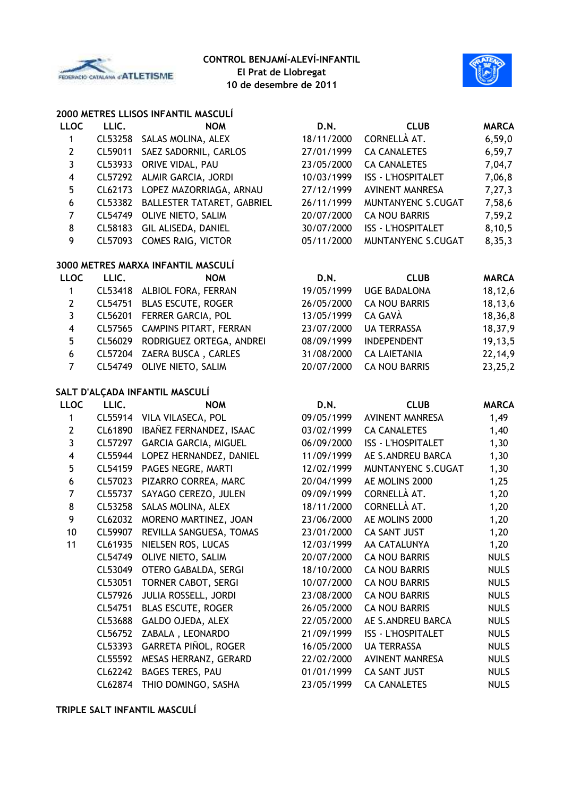



# **2000 METRES LLISOS INFANTIL MASCULÍ**

| <b>LLOC</b>             | LLIC.   | <b>NOM</b>                         | D.N.       | <b>CLUB</b>               | <b>MARCA</b> |
|-------------------------|---------|------------------------------------|------------|---------------------------|--------------|
| $\mathbf{1}$            | CL53258 | SALAS MOLINA, ALEX                 | 18/11/2000 | CORNELLÀ AT.              | 6,59,0       |
| $\mathbf{2}$            | CL59011 | SAEZ SADORNIL, CARLOS              | 27/01/1999 | <b>CA CANALETES</b>       | 6, 59, 7     |
| 3                       | CL53933 | ORIVE VIDAL, PAU                   | 23/05/2000 | <b>CA CANALETES</b>       | 7,04,7       |
| $\overline{\mathbf{4}}$ | CL57292 | ALMIR GARCIA, JORDI                | 10/03/1999 | <b>ISS - L'HOSPITALET</b> | 7,06,8       |
| 5                       | CL62173 | LOPEZ MAZORRIAGA, ARNAU            | 27/12/1999 | <b>AVINENT MANRESA</b>    | 7,27,3       |
| $\boldsymbol{6}$        | CL53382 | BALLESTER TATARET, GABRIEL         | 26/11/1999 | MUNTANYENC S.CUGAT        | 7,58,6       |
| $\overline{7}$          | CL54749 | OLIVE NIETO, SALIM                 | 20/07/2000 | <b>CA NOU BARRIS</b>      | 7,59,2       |
| 8                       | CL58183 | GIL ALISEDA, DANIEL                | 30/07/2000 | <b>ISS - L'HOSPITALET</b> | 8,10,5       |
| 9                       | CL57093 | COMES RAIG, VICTOR                 | 05/11/2000 | MUNTANYENC S.CUGAT        | 8,35,3       |
|                         |         | 3000 METRES MARXA INFANTIL MASCULÍ |            |                           |              |
| <b>LLOC</b>             | LLIC.   | <b>NOM</b>                         | D.N.       | <b>CLUB</b>               | <b>MARCA</b> |
| 1                       | CL53418 | ALBIOL FORA, FERRAN                | 19/05/1999 | <b>UGE BADALONA</b>       | 18,12,6      |
| $\mathbf{2}$            | CL54751 | BLAS ESCUTE, ROGER                 | 26/05/2000 | <b>CA NOU BARRIS</b>      | 18,13,6      |
| $\mathbf{3}$            | CL56201 | FERRER GARCIA, POL                 | 13/05/1999 | CA GAVÀ                   | 18,36,8      |
| $\overline{\mathbf{4}}$ | CL57565 | CAMPINS PITART, FERRAN             | 23/07/2000 | <b>UA TERRASSA</b>        | 18,37,9      |
| 5                       | CL56029 | RODRIGUEZ ORTEGA, ANDREI           | 08/09/1999 | <b>INDEPENDENT</b>        | 19,13,5      |
| $\boldsymbol{6}$        | CL57204 | ZAERA BUSCA, CARLES                | 31/08/2000 | <b>CA LAIETANIA</b>       | 22, 14, 9    |
| $\overline{7}$          | CL54749 | OLIVE NIETO, SALIM                 | 20/07/2000 | <b>CA NOU BARRIS</b>      | 23,25,2      |
|                         |         | SALT D'ALÇADA INFANTIL MASCULÍ     |            |                           |              |
| <b>LLOC</b>             | LLIC.   | <b>NOM</b>                         | D.N.       | <b>CLUB</b>               | <b>MARCA</b> |
| $\mathbf{1}$            |         | CL55914 VILA VILASECA, POL         | 09/05/1999 | <b>AVINENT MANRESA</b>    | 1,49         |
| $\mathbf{2}$            | CL61890 | IBAÑEZ FERNANDEZ, ISAAC            | 03/02/1999 | <b>CA CANALETES</b>       | 1,40         |
| 3                       | CL57297 | GARCIA GARCIA, MIGUEL              | 06/09/2000 | <b>ISS - L'HOSPITALET</b> | 1,30         |
| $\overline{\mathbf{4}}$ | CL55944 | LOPEZ HERNANDEZ, DANIEL            | 11/09/1999 | AE S.ANDREU BARCA         | 1,30         |
| 5                       | CL54159 | PAGES NEGRE, MARTI                 | 12/02/1999 | MUNTANYENC S.CUGAT        | 1,30         |
| $\boldsymbol{6}$        | CL57023 | PIZARRO CORREA, MARC               | 20/04/1999 | AE MOLINS 2000            | 1,25         |
| $\overline{7}$          | CL55737 | SAYAGO CEREZO, JULEN               | 09/09/1999 | CORNELLÀ AT.              | 1,20         |
| 8                       | CL53258 | SALAS MOLINA, ALEX                 | 18/11/2000 | CORNELLÀ AT.              | 1,20         |
| 9                       | CL62032 | MORENO MARTINEZ, JOAN              | 23/06/2000 | AE MOLINS 2000            | 1,20         |
| 10                      | CL59907 | REVILLA SANGUESA, TOMAS            | 23/01/2000 | CA SANT JUST              | 1,20         |
| 11                      | CL61935 | NIELSEN ROS, LUCAS                 | 12/03/1999 | AA CATALUNYA              | 1,20         |
|                         |         | CL54749 OLIVE NIETO, SALIM         | 20/07/2000 | <b>CA NOU BARRIS</b>      | <b>NULS</b>  |
|                         |         | CL53049 OTERO GABALDA, SERGI       | 18/10/2000 | <b>CA NOU BARRIS</b>      | <b>NULS</b>  |
|                         | CL53051 | <b>TORNER CABOT, SERGI</b>         | 10/07/2000 | <b>CA NOU BARRIS</b>      | <b>NULS</b>  |
|                         | CL57926 | JULIA ROSSELL, JORDI               | 23/08/2000 | <b>CA NOU BARRIS</b>      | <b>NULS</b>  |
|                         | CL54751 | <b>BLAS ESCUTE, ROGER</b>          | 26/05/2000 | <b>CA NOU BARRIS</b>      | <b>NULS</b>  |
|                         | CL53688 | GALDO OJEDA, ALEX                  | 22/05/2000 | AE S.ANDREU BARCA         | <b>NULS</b>  |
|                         | CL56752 | ZABALA, LEONARDO                   | 21/09/1999 | <b>ISS - L'HOSPITALET</b> | <b>NULS</b>  |
|                         | CL53393 | GARRETA PIÑOL, ROGER               | 16/05/2000 | <b>UA TERRASSA</b>        | <b>NULS</b>  |
|                         | CL55592 | MESAS HERRANZ, GERARD              | 22/02/2000 | <b>AVINENT MANRESA</b>    | <b>NULS</b>  |
|                         | CL62242 | <b>BAGES TERES, PAU</b>            | 01/01/1999 | CA SANT JUST              | <b>NULS</b>  |
|                         |         |                                    |            |                           |              |

CL62874 THIO DOMINGO, SASHA 23/05/1999 CA CANALETES NULS

**TRIPLE SALT INFANTIL MASCULÍ**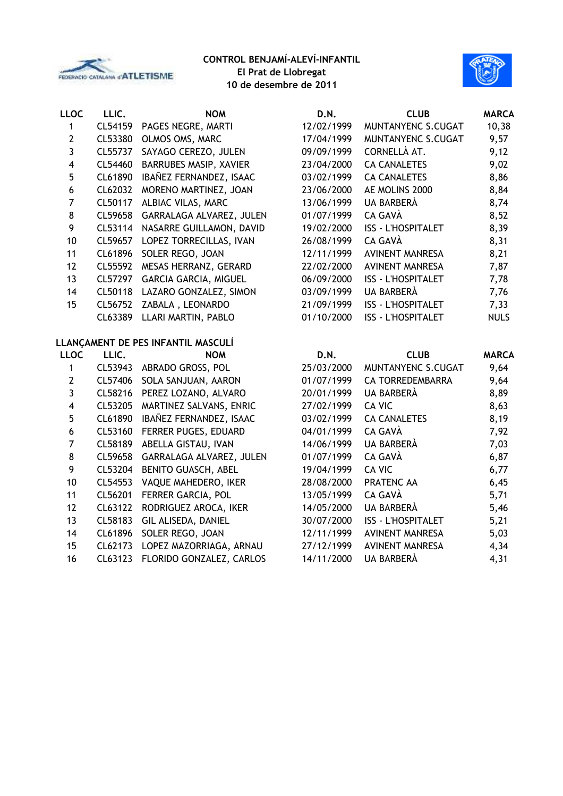



| <b>LLOC</b>             | LLIC.   | <b>NOM</b>                         | D.N.       | <b>CLUB</b>               | <b>MARCA</b> |
|-------------------------|---------|------------------------------------|------------|---------------------------|--------------|
| 1                       | CL54159 | PAGES NEGRE, MARTI                 | 12/02/1999 | MUNTANYENC S.CUGAT        | 10,38        |
| $\overline{2}$          | CL53380 | OLMOS OMS, MARC                    | 17/04/1999 | MUNTANYENC S.CUGAT        | 9,57         |
| 3                       | CL55737 | SAYAGO CEREZO, JULEN               | 09/09/1999 | CORNELLÀ AT.              | 9,12         |
| $\overline{\mathbf{4}}$ | CL54460 | BARRUBES MASIP, XAVIER             | 23/04/2000 | <b>CA CANALETES</b>       | 9,02         |
| 5                       | CL61890 | IBAÑEZ FERNANDEZ, ISAAC            | 03/02/1999 | <b>CA CANALETES</b>       | 8,86         |
| 6                       | CL62032 | MORENO MARTINEZ, JOAN              | 23/06/2000 | AE MOLINS 2000            | 8,84         |
| $\overline{7}$          | CL50117 | ALBIAC VILAS, MARC                 | 13/06/1999 | UA BARBERÀ                | 8,74         |
| 8                       | CL59658 | GARRALAGA ALVAREZ, JULEN           | 01/07/1999 | CA GAVÀ                   | 8,52         |
| 9                       | CL53114 | NASARRE GUILLAMON, DAVID           | 19/02/2000 | ISS - L'HOSPITALET        | 8,39         |
| 10                      | CL59657 | LOPEZ TORRECILLAS, IVAN            | 26/08/1999 | CA GAVÀ                   | 8,31         |
| 11                      | CL61896 | SOLER REGO, JOAN                   | 12/11/1999 | <b>AVINENT MANRESA</b>    | 8,21         |
| 12                      | CL55592 | MESAS HERRANZ, GERARD              | 22/02/2000 | <b>AVINENT MANRESA</b>    | 7,87         |
| 13                      | CL57297 | <b>GARCIA GARCIA, MIGUEL</b>       | 06/09/2000 | <b>ISS - L'HOSPITALET</b> | 7,78         |
| 14                      | CL50118 | LAZARO GONZALEZ, SIMON             | 03/09/1999 | UA BARBERÀ                | 7,76         |
| 15                      | CL56752 | ZABALA, LEONARDO                   | 21/09/1999 | <b>ISS - L'HOSPITALET</b> | 7,33         |
|                         | CL63389 | LLARI MARTIN, PABLO                | 01/10/2000 | <b>ISS - L'HOSPITALET</b> | <b>NULS</b>  |
|                         |         | LLANÇAMENT DE PES INFANTIL MASCULÍ |            |                           |              |
| <b>LLOC</b>             | LLIC.   | <b>NOM</b>                         | D.N.       | <b>CLUB</b>               | <b>MARCA</b> |
| 1                       | CL53943 | ABRADO GROSS, POL                  | 25/03/2000 | MUNTANYENC S.CUGAT        | 9,64         |
| $\overline{2}$          | CL57406 | SOLA SANJUAN, AARON                | 01/07/1999 | CA TORREDEMBARRA          | 9,64         |
| 3                       | CL58216 | PEREZ LOZANO, ALVARO               | 20/01/1999 | UA BARBERÀ                | 8,89         |
| $\overline{\mathbf{4}}$ | CL53205 | MARTINEZ SALVANS, ENRIC            | 27/02/1999 | CA VIC                    | 8,63         |
| 5                       | CL61890 | IBAÑEZ FERNANDEZ, ISAAC            | 03/02/1999 | <b>CA CANALETES</b>       | 8,19         |

- 
- CL53160 FERRER PUGES, EDUARD 04/01/1999 CA GAVÀ 7,92 CL58189 ABELLA GISTAU, IVAN 14/06/1999 UA BARBERÀ 7,03
- CL59658 GARRALAGA ALVAREZ, JULEN 01/07/1999 CA GAVÀ 6,87
- 9 CL53204 BENITO GUASCH, ABEL 19/04/1999 CA VIC 6,77
- CL54553 VAQUE MAHEDERO, IKER 28/08/2000 PRATENC AA 6,45
- CL56201 FERRER GARCIA, POL 13/05/1999 CA GAVÀ 5,71
- CL63122 RODRIGUEZ AROCA, IKER 14/05/2000 UA BARBERÀ 5,46
- CL58183 GIL ALISEDA, DANIEL 30/07/2000 ISS L'HOSPITALET 5,21
- CL61896 SOLER REGO, JOAN 12/11/1999 AVINENT MANRESA 5,03
- CL62173 LOPEZ MAZORRIAGA, ARNAU 27/12/1999 AVINENT MANRESA 4,34
- CL63123 FLORIDO GONZALEZ, CARLOS 14/11/2000 UA BARBERÀ 4,31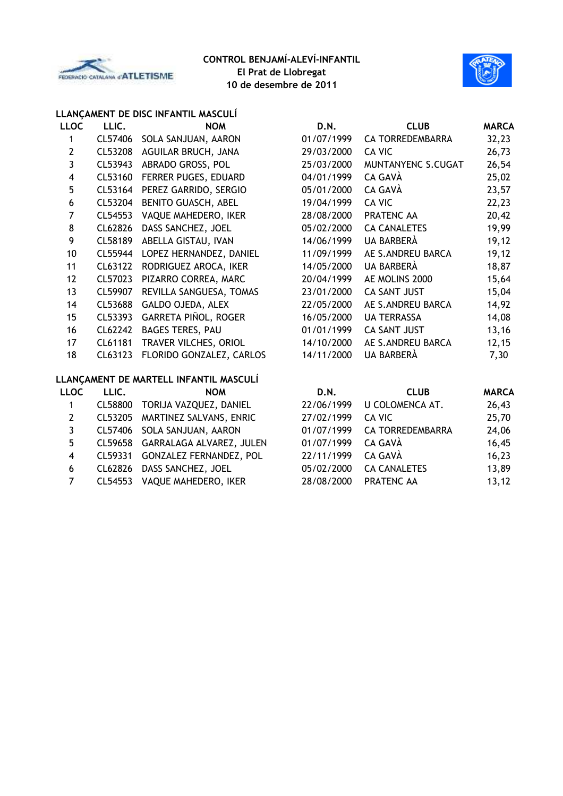



# **LLANÇAMENT DE DISC INFANTIL MASCULÍ**

| <b>LLOC</b>    | LLIC.   | <b>NOM</b>                             | D.N.       | <b>CLUB</b>             | <b>MARCA</b> |
|----------------|---------|----------------------------------------|------------|-------------------------|--------------|
| 1              | CL57406 | SOLA SANJUAN, AARON                    | 01/07/1999 | <b>CA TORREDEMBARRA</b> | 32,23        |
| $\overline{2}$ | CL53208 | AGUILAR BRUCH, JANA                    | 29/03/2000 | CA VIC                  | 26,73        |
| 3              | CL53943 | ABRADO GROSS, POL                      | 25/03/2000 | MUNTANYENC S.CUGAT      | 26,54        |
| 4              | CL53160 | FERRER PUGES, EDUARD                   | 04/01/1999 | CA GAVÀ                 | 25,02        |
| 5              | CL53164 | PEREZ GARRIDO, SERGIO                  | 05/01/2000 | CA GAVÀ                 | 23,57        |
| 6              | CL53204 | BENITO GUASCH, ABEL                    | 19/04/1999 | <b>CA VIC</b>           | 22,23        |
| $\overline{7}$ | CL54553 | VAQUE MAHEDERO, IKER                   | 28/08/2000 | PRATENC AA              | 20,42        |
| 8              | CL62826 | DASS SANCHEZ, JOEL                     | 05/02/2000 | <b>CA CANALETES</b>     | 19,99        |
| 9              | CL58189 | ABELLA GISTAU, IVAN                    | 14/06/1999 | UA BARBERÀ              | 19, 12       |
| 10             | CL55944 | LOPEZ HERNANDEZ, DANIEL                | 11/09/1999 | AE S.ANDREU BARCA       | 19, 12       |
| 11             | CL63122 | RODRIGUEZ AROCA, IKER                  | 14/05/2000 | UA BARBERÀ              | 18,87        |
| 12             | CL57023 | PIZARRO CORREA, MARC                   | 20/04/1999 | AE MOLINS 2000          | 15,64        |
| 13             | CL59907 | REVILLA SANGUESA, TOMAS                | 23/01/2000 | <b>CA SANT JUST</b>     | 15,04        |
| 14             | CL53688 | GALDO OJEDA, ALEX                      | 22/05/2000 | AE S.ANDREU BARCA       | 14,92        |
| 15             | CL53393 | GARRETA PIÑOL, ROGER                   | 16/05/2000 | <b>UA TERRASSA</b>      | 14,08        |
| 16             | CL62242 | <b>BAGES TERES, PAU</b>                | 01/01/1999 | <b>CA SANT JUST</b>     | 13,16        |
| 17             | CL61181 | TRAVER VILCHES, ORIOL                  | 14/10/2000 | AE S.ANDREU BARCA       | 12, 15       |
| 18             | CL63123 | FLORIDO GONZALEZ, CARLOS               | 14/11/2000 | UA BARBERÀ              | 7,30         |
|                |         | LLANÇAMENT DE MARTELL INFANTIL MASCULÍ |            |                         |              |
| <b>LLOC</b>    | LLIC.   | <b>NOM</b>                             | D.N.       | <b>CLUB</b>             | <b>MARCA</b> |
| 1              | CL58800 | TORIJA VAZQUEZ, DANIEL                 | 22/06/1999 | U COLOMENCA AT.         | 26,43        |
| $\overline{2}$ | CL53205 | MARTINEZ SALVANS, ENRIC                | 27/02/1999 | CA VIC                  | 25,70        |
| 3              | CL57406 | SOLA SANJUAN, AARON                    | 01/07/1999 | CA TORREDEMBARRA        | 24,06        |
| 5              | CL59658 | GARRALAGA ALVAREZ, JULEN               | 01/07/1999 | CA GAVÀ                 | 16,45        |
| 4              | CL59331 | GONZALEZ FERNANDEZ, POL                | 22/11/1999 | CA GAVÀ                 | 16,23        |
|                |         | $C1 \wedge 202 \wedge 201$             |            |                         | 1200         |

- 
- 

 CL62826 DASS SANCHEZ, JOEL 05/02/2000 CA CANALETES 13,89 CL54553 VAQUE MAHEDERO, IKER 28/08/2000 PRATENC AA 13,12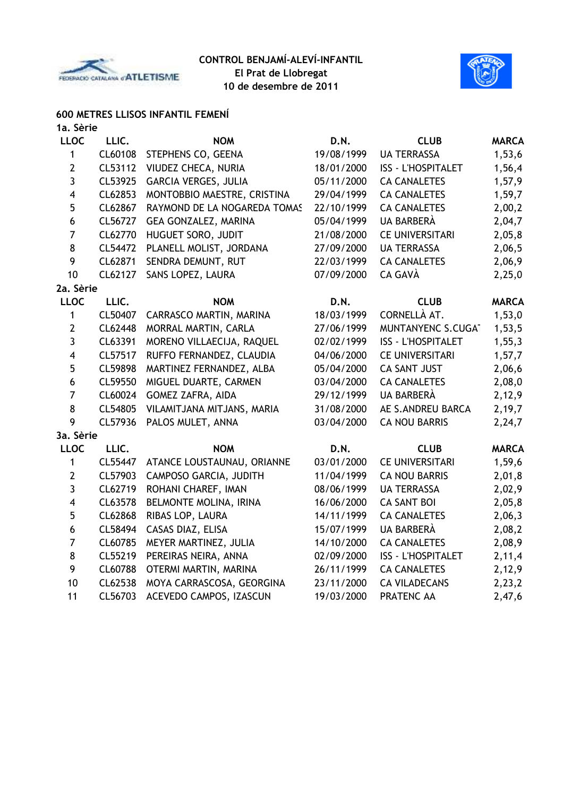



## **600 METRES LLISOS INFANTIL FEMENÍ**

| 1a. Sèrie               |         |                              |            |                           |              |
|-------------------------|---------|------------------------------|------------|---------------------------|--------------|
| <b>LLOC</b>             | LLIC.   | <b>NOM</b>                   | D.N.       | <b>CLUB</b>               | <b>MARCA</b> |
| $\mathbf{1}$            | CL60108 | STEPHENS CO, GEENA           | 19/08/1999 | <b>UA TERRASSA</b>        | 1,53,6       |
| $\mathbf{2}$            | CL53112 | VIUDEZ CHECA, NURIA          | 18/01/2000 | <b>ISS - L'HOSPITALET</b> | 1,56,4       |
| $\mathbf{3}$            | CL53925 | <b>GARCIA VERGES, JULIA</b>  | 05/11/2000 | <b>CA CANALETES</b>       | 1,57,9       |
| $\overline{\mathbf{4}}$ | CL62853 | MONTOBBIO MAESTRE, CRISTINA  | 29/04/1999 | <b>CA CANALETES</b>       | 1,59,7       |
| 5                       | CL62867 | RAYMOND DE LA NOGAREDA TOMAS | 22/10/1999 | <b>CA CANALETES</b>       | 2,00,2       |
| 6                       | CL56727 | <b>GEA GONZALEZ, MARINA</b>  | 05/04/1999 | UA BARBERÀ                | 2,04,7       |
| $\overline{7}$          | CL62770 | HUGUET SORO, JUDIT           | 21/08/2000 | <b>CE UNIVERSITARI</b>    | 2,05,8       |
| $\bf 8$                 | CL54472 | PLANELL MOLIST, JORDANA      | 27/09/2000 | <b>UA TERRASSA</b>        | 2,06,5       |
| 9                       | CL62871 | SENDRA DEMUNT, RUT           | 22/03/1999 | <b>CA CANALETES</b>       | 2,06,9       |
| 10                      | CL62127 | SANS LOPEZ, LAURA            | 07/09/2000 | CA GAVÀ                   | 2,25,0       |
| 2a. Sèrie               |         |                              |            |                           |              |
| <b>LLOC</b>             | LLIC.   | <b>NOM</b>                   | D.N.       | <b>CLUB</b>               | <b>MARCA</b> |
| 1                       | CL50407 | CARRASCO MARTIN, MARINA      | 18/03/1999 | CORNELLÀ AT.              | 1,53,0       |
| $\mathbf{2}$            | CL62448 | MORRAL MARTIN, CARLA         | 27/06/1999 | MUNTANYENC S.CUGAT        | 1,53,5       |
| $\mathbf{3}$            | CL63391 | MORENO VILLAECIJA, RAQUEL    | 02/02/1999 | <b>ISS - L'HOSPITALET</b> | 1, 55, 3     |
| $\overline{\mathbf{4}}$ | CL57517 | RUFFO FERNANDEZ, CLAUDIA     | 04/06/2000 | <b>CE UNIVERSITARI</b>    | 1, 57, 7     |
| 5                       | CL59898 | MARTINEZ FERNANDEZ, ALBA     | 05/04/2000 | CA SANT JUST              | 2,06,6       |
| 6                       | CL59550 | MIGUEL DUARTE, CARMEN        | 03/04/2000 | <b>CA CANALETES</b>       | 2,08,0       |
| $\overline{7}$          | CL60024 | GOMEZ ZAFRA, AIDA            | 29/12/1999 | <b>UA BARBERÀ</b>         | 2,12,9       |
| $\bf 8$                 | CL54805 | VILAMITJANA MITJANS, MARIA   | 31/08/2000 | AE S.ANDREU BARCA         | 2,19,7       |
| 9                       | CL57936 | PALOS MULET, ANNA            | 03/04/2000 | <b>CA NOU BARRIS</b>      | 2,24,7       |
| 3a. Sèrie               |         |                              |            |                           |              |
| <b>LLOC</b>             | LLIC.   | <b>NOM</b>                   | D.N.       | <b>CLUB</b>               | <b>MARCA</b> |
| 1                       | CL55447 | ATANCE LOUSTAUNAU, ORIANNE   | 03/01/2000 | <b>CE UNIVERSITARI</b>    | 1,59,6       |
| $\mathbf{2}$            | CL57903 | CAMPOSO GARCIA, JUDITH       | 11/04/1999 | <b>CA NOU BARRIS</b>      | 2,01,8       |
| 3                       | CL62719 | ROHANI CHAREF, IMAN          | 08/06/1999 | <b>UA TERRASSA</b>        | 2,02,9       |
| $\overline{\mathbf{4}}$ | CL63578 | BELMONTE MOLINA, IRINA       | 16/06/2000 | <b>CA SANT BOI</b>        | 2,05,8       |
| 5                       | CL62868 | RIBAS LOP, LAURA             | 14/11/1999 | <b>CA CANALETES</b>       | 2,06,3       |
| 6                       | CL58494 | CASAS DIAZ, ELISA            | 15/07/1999 | <b>UA BARBERÀ</b>         | 2,08,2       |
| $\overline{7}$          | CL60785 | MEYER MARTINEZ, JULIA        | 14/10/2000 | <b>CA CANALETES</b>       | 2,08,9       |
| 8                       | CL55219 | PEREIRAS NEIRA, ANNA         | 02/09/2000 | <b>ISS - L'HOSPITALET</b> | 2,11,4       |
| 9                       | CL60788 | OTERMI MARTIN, MARINA        | 26/11/1999 | <b>CA CANALETES</b>       | 2,12,9       |
| 10                      | CL62538 | MOYA CARRASCOSA, GEORGINA    | 23/11/2000 | <b>CA VILADECANS</b>      | 2, 23, 2     |
| 11                      | CL56703 | ACEVEDO CAMPOS, IZASCUN      | 19/03/2000 | PRATENC AA                | 2,47,6       |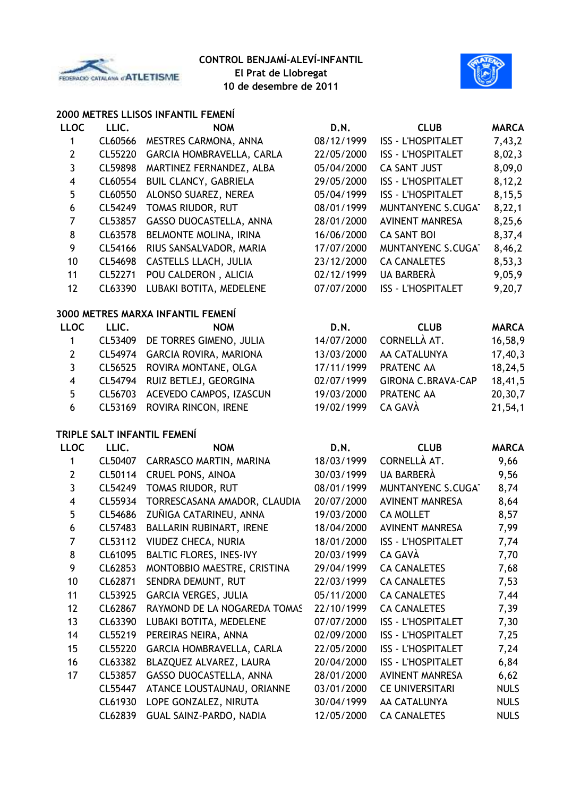



#### **2000 METRES LLISOS INFANTIL FEMENÍ**

| <b>LLOC</b>             | LLIC.   | <b>NOM</b>                        | D.N.       | <b>CLUB</b>               | <b>MARCA</b> |
|-------------------------|---------|-----------------------------------|------------|---------------------------|--------------|
| 1                       | CL60566 | MESTRES CARMONA, ANNA             | 08/12/1999 | <b>ISS - L'HOSPITALET</b> | 7,43,2       |
| $\overline{2}$          | CL55220 | GARCIA HOMBRAVELLA, CARLA         | 22/05/2000 | <b>ISS - L'HOSPITALET</b> | 8,02,3       |
| 3                       | CL59898 | MARTINEZ FERNANDEZ, ALBA          | 05/04/2000 | <b>CA SANT JUST</b>       | 8,09,0       |
| $\overline{\mathbf{4}}$ | CL60554 | <b>BUIL CLANCY, GABRIELA</b>      | 29/05/2000 | ISS - L'HOSPITALET        | 8,12,2       |
| 5                       | CL60550 | ALONSO SUAREZ, NEREA              | 05/04/1999 | <b>ISS - L'HOSPITALET</b> | 8,15,5       |
| $\boldsymbol{6}$        | CL54249 | TOMAS RIUDOR, RUT                 | 08/01/1999 | MUNTANYENC S.CUGAT        | 8,22,1       |
| $\overline{7}$          | CL53857 | GASSO DUOCASTELLA, ANNA           | 28/01/2000 | <b>AVINENT MANRESA</b>    | 8,25,6       |
| $\bf 8$                 | CL63578 | BELMONTE MOLINA, IRINA            | 16/06/2000 | <b>CA SANT BOI</b>        | 8,37,4       |
| 9                       | CL54166 | RIUS SANSALVADOR, MARIA           | 17/07/2000 | MUNTANYENC S.CUGAT        | 8,46,2       |
| 10                      | CL54698 | CASTELLS LLACH, JULIA             | 23/12/2000 | <b>CA CANALETES</b>       | 8,53,3       |
| 11                      | CL52271 | POU CALDERON, ALICIA              | 02/12/1999 | UA BARBERÀ                | 9,05,9       |
| 12                      | CL63390 | LUBAKI BOTITA, MEDELENE           | 07/07/2000 | <b>ISS - L'HOSPITALET</b> | 9,20,7       |
|                         |         | 3000 METRES MARXA INFANTIL FEMENÍ |            |                           |              |
| <b>LLOC</b>             | LLIC.   | <b>NOM</b>                        | D.N.       | <b>CLUB</b>               | <b>MARCA</b> |
| 1                       | CL53409 | DE TORRES GIMENO, JULIA           | 14/07/2000 | CORNELLÀ AT.              | 16,58,9      |
| $\overline{2}$          | CL54974 | GARCIA ROVIRA, MARIONA            | 13/03/2000 | AA CATALUNYA              | 17,40,3      |
| $\mathbf{3}$            | CL56525 | ROVIRA MONTANE, OLGA              | 17/11/1999 | PRATENC AA                | 18,24,5      |
| $\overline{\mathbf{4}}$ | CL54794 | RUIZ BETLEJ, GEORGINA             | 02/07/1999 | <b>GIRONA C.BRAVA-CAP</b> | 18,41,5      |
| 5                       | CL56703 | ACEVEDO CAMPOS, IZASCUN           | 19/03/2000 | PRATENC AA                | 20,30,7      |
| 6                       | CL53169 | ROVIRA RINCON, IRENE              | 19/02/1999 | CA GAVÀ                   | 21,54,1      |
|                         |         | TRIPLE SALT INFANTIL FEMENÍ       |            |                           |              |
| <b>LLOC</b>             | LLIC.   | <b>NOM</b>                        | D.N.       | <b>CLUB</b>               | <b>MARCA</b> |
| 1                       | CL50407 | CARRASCO MARTIN, MARINA           | 18/03/1999 | CORNELLÀ AT.              | 9,66         |
| $\mathbf{2}$            | CL50114 | CRUEL PONS, AINOA                 | 30/03/1999 | UA BARBERÀ                | 9,56         |
| 3                       | CL54249 | TOMAS RIUDOR, RUT                 | 08/01/1999 | MUNTANYENC S.CUGAT        | 8,74         |
| $\overline{\mathbf{4}}$ | CL55934 | TORRESCASANA AMADOR, CLAUDIA      | 20/07/2000 | <b>AVINENT MANRESA</b>    | 8,64         |
| 5                       | CL54686 | ZUÑIGA CATARINEU, ANNA            | 19/03/2000 | <b>CA MOLLET</b>          | 8,57         |
| 6                       | CL57483 | BALLARIN RUBINART, IRENE          | 18/04/2000 | <b>AVINENT MANRESA</b>    | 7,99         |
| $\overline{7}$          | CL53112 | VIUDEZ CHECA, NURIA               | 18/01/2000 | <b>ISS - L'HOSPITALET</b> | 7,74         |
| 8                       | CL61095 | BALTIC FLORES, INES-IVY           | 20/03/1999 | CA GAVÀ                   | 7,70         |
| 9                       | CL62853 | MONTOBBIO MAESTRE, CRISTINA       | 29/04/1999 | <b>CA CANALETES</b>       | 7,68         |
| 10                      | CL62871 | SENDRA DEMUNT, RUT                | 22/03/1999 | <b>CA CANALETES</b>       | 7,53         |
| 11                      | CL53925 | GARCIA VERGES, JULIA              | 05/11/2000 | <b>CA CANALETES</b>       | 7,44         |
| 12                      | CL62867 | RAYMOND DE LA NOGAREDA TOMAS      | 22/10/1999 | <b>CA CANALETES</b>       | 7,39         |
| 13                      | CL63390 | LUBAKI BOTITA, MEDELENE           | 07/07/2000 | <b>ISS - L'HOSPITALET</b> | 7,30         |
| 14                      | CL55219 | PEREIRAS NEIRA, ANNA              | 02/09/2000 | <b>ISS - L'HOSPITALET</b> | 7,25         |
| 15                      | CL55220 | GARCIA HOMBRAVELLA, CARLA         | 22/05/2000 | <b>ISS - L'HOSPITALET</b> | 7,24         |
| 16                      | CL63382 | BLAZQUEZ ALVAREZ, LAURA           | 20/04/2000 | <b>ISS - L'HOSPITALET</b> | 6,84         |
| 17                      | CL53857 | GASSO DUOCASTELLA, ANNA           | 28/01/2000 | <b>AVINENT MANRESA</b>    | 6,62         |
|                         | CL55447 | ATANCE LOUSTAUNAU, ORIANNE        | 03/01/2000 | <b>CE UNIVERSITARI</b>    | <b>NULS</b>  |
|                         | CL61930 | LOPE GONZALEZ, NIRUTA             | 30/04/1999 | AA CATALUNYA              | <b>NULS</b>  |
|                         | CL62839 | GUAL SAINZ-PARDO, NADIA           | 12/05/2000 | <b>CA CANALETES</b>       | <b>NULS</b>  |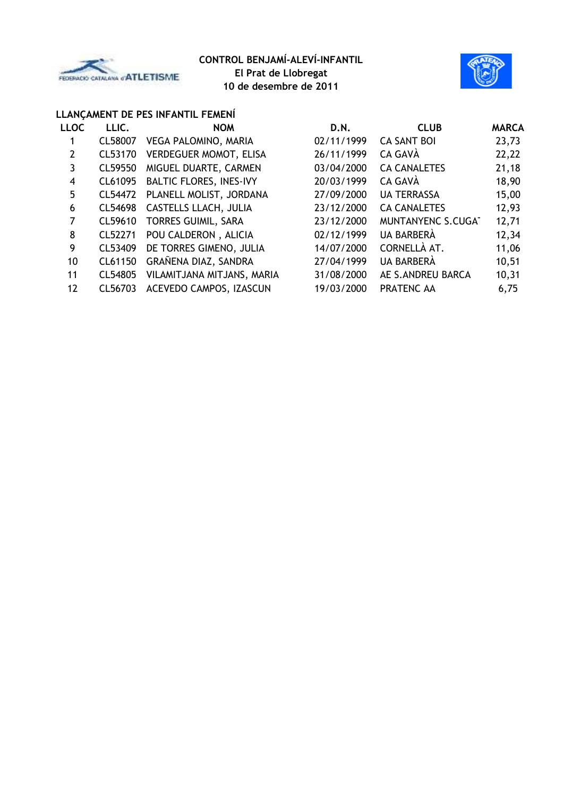



#### **LLANÇAMENT DE PES INFANTIL FEMENÍ**

| <b>LLOC</b>    | LLIC.   | <b>NOM</b>                     | D.N.       | <b>CLUB</b>         | <b>MARCA</b> |
|----------------|---------|--------------------------------|------------|---------------------|--------------|
| 1              | CL58007 | VEGA PALOMINO, MARIA           | 02/11/1999 | <b>CA SANT BOI</b>  | 23,73        |
| $\overline{2}$ | CL53170 | <b>VERDEGUER MOMOT, ELISA</b>  | 26/11/1999 | CA GAVÀ             | 22,22        |
| 3              | CL59550 | MIGUEL DUARTE, CARMEN          | 03/04/2000 | <b>CA CANALETES</b> | 21,18        |
| 4              | CL61095 | <b>BALTIC FLORES, INES-IVY</b> | 20/03/1999 | CA GAVÀ             | 18,90        |
| 5              | CL54472 | PLANELL MOLIST, JORDANA        | 27/09/2000 | <b>UA TERRASSA</b>  | 15,00        |
| 6              | CL54698 | CASTELLS LLACH, JULIA          | 23/12/2000 | <b>CA CANALETES</b> | 12,93        |
| 7              | CL59610 | TORRES GUIMIL, SARA            | 23/12/2000 | MUNTANYENC S.CUGAT  | 12,71        |
| 8              | CL52271 | POU CALDERON, ALICIA           | 02/12/1999 | UA BARBERÀ          | 12,34        |
| 9              | CL53409 | DE TORRES GIMENO, JULIA        | 14/07/2000 | CORNELLÀ AT.        | 11,06        |
| 10             | CL61150 | GRAÑENA DIAZ, SANDRA           | 27/04/1999 | UA BARBERÀ          | 10,51        |
| 11             | CL54805 | VILAMITJANA MITJANS, MARIA     | 31/08/2000 | AE S.ANDREU BARCA   | 10,31        |
| 12             | CL56703 | ACEVEDO CAMPOS, IZASCUN        | 19/03/2000 | PRATENC AA          | 6,75         |
|                |         |                                |            |                     |              |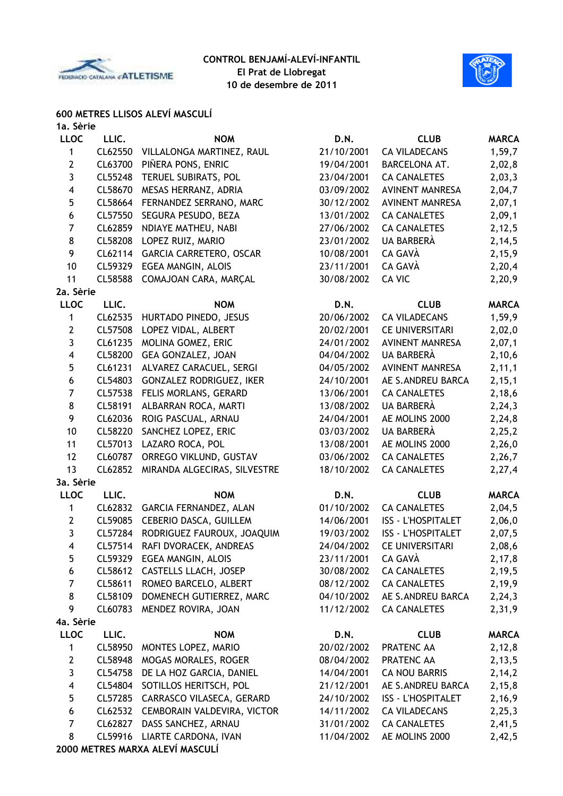



# **600 METRES LLISOS ALEVÍ MASCULÍ**

| 1a. Sèrie      |         |                                |            |                           |              |
|----------------|---------|--------------------------------|------------|---------------------------|--------------|
| <b>LLOC</b>    | LLIC.   | <b>NOM</b>                     | D.N.       | <b>CLUB</b>               | <b>MARCA</b> |
| 1              | CL62550 | VILLALONGA MARTINEZ, RAUL      | 21/10/2001 | <b>CA VILADECANS</b>      | 1,59,7       |
| $\mathbf{2}$   | CL63700 | PIÑERA PONS, ENRIC             | 19/04/2001 | BARCELONA AT.             | 2,02,8       |
| 3              | CL55248 | TERUEL SUBIRATS, POL           | 23/04/2001 | <b>CA CANALETES</b>       | 2,03,3       |
| 4              | CL58670 | MESAS HERRANZ, ADRIA           | 03/09/2002 | <b>AVINENT MANRESA</b>    | 2,04,7       |
| 5              | CL58664 | FERNANDEZ SERRANO, MARC        | 30/12/2002 | <b>AVINENT MANRESA</b>    | 2,07,1       |
| 6              | CL57550 | SEGURA PESUDO, BEZA            | 13/01/2002 | <b>CA CANALETES</b>       | 2,09,1       |
| $\overline{7}$ | CL62859 | NDIAYE MATHEU, NABI            | 27/06/2002 | <b>CA CANALETES</b>       | 2, 12, 5     |
| 8              | CL58208 | LOPEZ RUIZ, MARIO              | 23/01/2002 | <b>UA BARBERÀ</b>         | 2,14,5       |
| 9              | CL62114 | GARCIA CARRETERO, OSCAR        | 10/08/2001 | CA GAVÀ                   | 2,15,9       |
| 10             | CL59329 | EGEA MANGIN, ALOIS             | 23/11/2001 | CA GAVÀ                   | 2,20,4       |
| 11             | CL58588 | COMAJOAN CARA, MARÇAL          | 30/08/2002 | <b>CA VIC</b>             | 2,20,9       |
| 2a. Sèrie      |         |                                |            |                           |              |
| <b>LLOC</b>    | LLIC.   | <b>NOM</b>                     | D.N.       | <b>CLUB</b>               | <b>MARCA</b> |
| 1              | CL62535 | HURTADO PINEDO, JESUS          | 20/06/2002 | <b>CA VILADECANS</b>      | 1,59,9       |
| $\mathbf{2}$   | CL57508 | LOPEZ VIDAL, ALBERT            | 20/02/2001 | <b>CE UNIVERSITARI</b>    | 2,02,0       |
| 3              | CL61235 | MOLINA GOMEZ, ERIC             | 24/01/2002 | <b>AVINENT MANRESA</b>    | 2,07,1       |
| 4              | CL58200 | GEA GONZALEZ, JOAN             | 04/04/2002 | UA BARBERÀ                | 2,10,6       |
| 5              | CL61231 | ALVAREZ CARACUEL, SERGI        | 04/05/2002 | <b>AVINENT MANRESA</b>    | 2, 11, 1     |
| 6              | CL54803 | GONZALEZ RODRIGUEZ, IKER       | 24/10/2001 | AE S.ANDREU BARCA         | 2, 15, 1     |
| $\overline{7}$ | CL57538 | FELIS MORLANS, GERARD          | 13/06/2001 | <b>CA CANALETES</b>       | 2,18,6       |
| 8              | CL58191 | ALBARRAN ROCA, MARTI           | 13/08/2002 | UA BARBERÀ                | 2, 24, 3     |
| 9              | CL62036 | ROIG PASCUAL, ARNAU            | 24/04/2001 | AE MOLINS 2000            | 2,24,8       |
| 10             | CL58220 | SANCHEZ LOPEZ, ERIC            | 03/03/2002 | UA BARBERÀ                | 2,25,2       |
| 11             | CL57013 | LAZARO ROCA, POL               | 13/08/2001 | AE MOLINS 2000            | 2,26,0       |
| 12             | CL60787 | ORREGO VIKLUND, GUSTAV         | 03/06/2002 | <b>CA CANALETES</b>       | 2,26,7       |
| 13             | CL62852 | MIRANDA ALGECIRAS, SILVESTRE   | 18/10/2002 | <b>CA CANALETES</b>       | 2,27,4       |
| 3a. Sèrie      |         |                                |            |                           |              |
| <b>LLOC</b>    | LLIC.   | <b>NOM</b>                     | D.N.       | <b>CLUB</b>               | <b>MARCA</b> |
| 1              |         | CL62832 GARCIA FERNANDEZ, ALAN | 01/10/2002 | <b>CA CANALETES</b>       | 2,04,5       |
| $\overline{2}$ | CL59085 | CEBERIO DASCA, GUILLEM         | 14/06/2001 | ISS - L'HOSPITALET        | 2,06,0       |
| 3              | CL57284 | RODRIGUEZ FAUROUX, JOAQUIM     | 19/03/2002 | <b>ISS - L'HOSPITALET</b> | 2,07,5       |
| 4              |         | CL57514 RAFI DVORACEK, ANDREAS | 24/04/2002 | CE UNIVERSITARI           | 2,08,6       |
| 5              |         | CL59329 EGEA MANGIN, ALOIS     | 23/11/2001 | CA GAVÀ                   | 2, 17, 8     |
| 6              |         | CL58612 CASTELLS LLACH, JOSEP  | 30/08/2002 | <b>CA CANALETES</b>       | 2,19,5       |
| $\overline{7}$ | CL58611 | ROMEO BARCELO, ALBERT          | 08/12/2002 | <b>CA CANALETES</b>       | 2,19,9       |
| 8              | CL58109 | DOMENECH GUTIERREZ, MARC       | 04/10/2002 | AE S.ANDREU BARCA         | 2, 24, 3     |
| 9              | CL60783 | MENDEZ ROVIRA, JOAN            | 11/12/2002 | <b>CA CANALETES</b>       | 2,31,9       |
| 4a. Sèrie      |         |                                |            |                           |              |
| <b>LLOC</b>    | LLIC.   | <b>NOM</b>                     | D.N.       | <b>CLUB</b>               | <b>MARCA</b> |
| 1              | CL58950 | MONTES LOPEZ, MARIO            | 20/02/2002 | PRATENC AA                | 2,12,8       |
| $\overline{2}$ | CL58948 | MOGAS MORALES, ROGER           | 08/04/2002 | PRATENC AA                | 2,13,5       |
| 3              | CL54758 | DE LA HOZ GARCIA, DANIEL       | 14/04/2001 | CA NOU BARRIS             | 2, 14, 2     |
| 4              | CL54804 | SOTILLOS HERITSCH, POL         | 21/12/2001 | AE S.ANDREU BARCA         | 2, 15, 8     |
| 5              | CL57285 | CARRASCO VILASECA, GERARD      | 24/10/2002 | <b>ISS - L'HOSPITALET</b> | 2,16,9       |
| 6              | CL62532 | CEMBORAIN VALDEVIRA, VICTOR    | 14/11/2002 | <b>CA VILADECANS</b>      | 2,25,3       |
| $\overline{7}$ | CL62827 | DASS SANCHEZ, ARNAU            | 31/01/2002 | <b>CA CANALETES</b>       | 2,41,5       |
| 8              |         | CL59916 LIARTE CARDONA, IVAN   | 11/04/2002 | AE MOLINS 2000            | 2,42,5       |
|                |         |                                |            |                           |              |

**2000 METRES MARXA ALEVÍ MASCULÍ**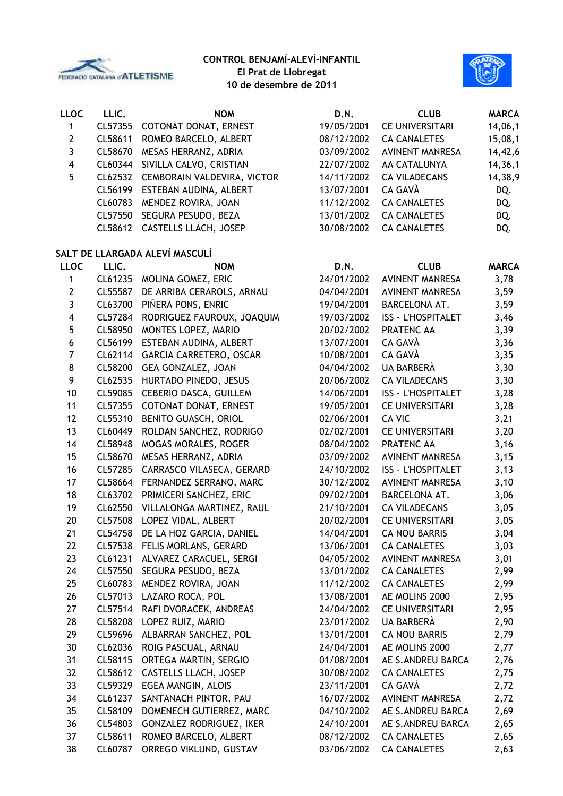



| <b>LLOC</b>             | LLIC.   | <b>NOM</b>                                     | D.N.                     | <b>CLUB</b>                                | <b>MARCA</b> |
|-------------------------|---------|------------------------------------------------|--------------------------|--------------------------------------------|--------------|
| 1                       | CL57355 | COTONAT DONAT, ERNEST                          | 19/05/2001               | <b>CE UNIVERSITARI</b>                     | 14,06,1      |
| $\mathbf{2}$            | CL58611 | ROMEO BARCELO, ALBERT                          | 08/12/2002               | <b>CA CANALETES</b>                        | 15,08,1      |
| 3                       | CL58670 | MESAS HERRANZ, ADRIA                           | 03/09/2002               | <b>AVINENT MANRESA</b>                     | 14,42,6      |
| $\overline{\mathbf{4}}$ | CL60344 | SIVILLA CALVO, CRISTIAN                        | 22/07/2002               | AA CATALUNYA                               | 14,36,1      |
| 5                       | CL62532 | CEMBORAIN VALDEVIRA, VICTOR                    | 14/11/2002               | <b>CA VILADECANS</b>                       | 14,38,9      |
|                         | CL56199 | ESTEBAN AUDINA, ALBERT                         | 13/07/2001               | CA GAVÀ                                    | DQ.          |
|                         | CL60783 | MENDEZ ROVIRA, JOAN                            | 11/12/2002               | <b>CA CANALETES</b>                        | DQ.          |
|                         | CL57550 | SEGURA PESUDO, BEZA                            | 13/01/2002               | <b>CA CANALETES</b>                        | DQ.          |
|                         | CL58612 | CASTELLS LLACH, JOSEP                          | 30/08/2002               | <b>CA CANALETES</b>                        | DQ.          |
|                         |         | SALT DE LLARGADA ALEVÍ MASCULÍ                 |                          |                                            |              |
| <b>LLOC</b>             | LLIC.   | <b>NOM</b>                                     | D.N.                     | <b>CLUB</b>                                | <b>MARCA</b> |
| 1                       | CL61235 | MOLINA GOMEZ, ERIC                             | 24/01/2002               | <b>AVINENT MANRESA</b>                     | 3,78         |
| $\overline{2}$          | CL55587 | DE ARRIBA CERAROLS, ARNAU                      | 04/04/2001               | <b>AVINENT MANRESA</b>                     | 3,59         |
| 3                       | CL63700 | PIÑERA PONS, ENRIC                             | 19/04/2001               | <b>BARCELONA AT.</b>                       | 3,59         |
| $\overline{\mathbf{4}}$ | CL57284 | RODRIGUEZ FAUROUX, JOAQUIM                     | 19/03/2002               | <b>ISS - L'HOSPITALET</b>                  | 3,46         |
| 5                       | CL58950 | MONTES LOPEZ, MARIO                            | 20/02/2002               | PRATENC AA                                 | 3,39         |
| 6                       | CL56199 | ESTEBAN AUDINA, ALBERT                         | 13/07/2001               | CA GAVÀ                                    | 3,36         |
| $\overline{7}$          | CL62114 | <b>GARCIA CARRETERO, OSCAR</b>                 | 10/08/2001               | CA GAVÀ                                    | 3,35         |
| 8                       | CL58200 | <b>GEA GONZALEZ, JOAN</b>                      | 04/04/2002               | <b>UA BARBERÀ</b>                          | 3,30         |
| 9                       | CL62535 | HURTADO PINEDO, JESUS                          | 20/06/2002               | <b>CA VILADECANS</b>                       | 3,30         |
| 10                      | CL59085 | <b>CEBERIO DASCA, GUILLEM</b>                  | 14/06/2001               | <b>ISS - L'HOSPITALET</b>                  | 3,28         |
| 11                      | CL57355 | COTONAT DONAT, ERNEST                          | 19/05/2001               | <b>CE UNIVERSITARI</b>                     | 3,28         |
| 12                      | CL55310 | BENITO GUASCH, ORIOL                           | 02/06/2001               | CA VIC                                     | 3,21         |
| 13                      | CL60449 | ROLDAN SANCHEZ, RODRIGO                        | 02/02/2001               | <b>CE UNIVERSITARI</b>                     | 3,20         |
| 14                      | CL58948 | MOGAS MORALES, ROGER                           | 08/04/2002               | PRATENC AA                                 | 3,16         |
| 15                      | CL58670 | MESAS HERRANZ, ADRIA                           | 03/09/2002               | <b>AVINENT MANRESA</b>                     | 3,15         |
| 16                      | CL57285 | CARRASCO VILASECA, GERARD                      | 24/10/2002               | <b>ISS - L'HOSPITALET</b>                  | 3,13         |
| 17                      | CL58664 | FERNANDEZ SERRANO, MARC                        | 30/12/2002               | <b>AVINENT MANRESA</b>                     | 3,10         |
| 18                      | CL63702 | PRIMICERI SANCHEZ, ERIC                        | 09/02/2001               | BARCELONA AT.                              | 3,06         |
| 19                      | CL62550 | VILLALONGA MARTINEZ, RAUL                      | 21/10/2001               | <b>CA VILADECANS</b>                       | 3,05         |
| 20                      | CL57508 | LOPEZ VIDAL, ALBERT                            | 20/02/2001               | <b>CE UNIVERSITARI</b>                     | 3,05         |
| 21                      | CL54758 | DE LA HOZ GARCIA, DANIEL                       | 14/04/2001               | <b>CA NOU BARRIS</b>                       | 3,04         |
| 22                      |         | FELIS MORLANS, GERARD                          |                          |                                            |              |
| 23                      | CL57538 |                                                | 13/06/2001               | <b>CA CANALETES</b>                        | 3,03         |
|                         | CL61231 | ALVAREZ CARACUEL, SERGI<br>SEGURA PESUDO, BEZA | 04/05/2002               | AVINENT MANRESA                            | 3,01         |
| 24                      | CL57550 |                                                | 13/01/2002<br>11/12/2002 | <b>CA CANALETES</b><br><b>CA CANALETES</b> | 2,99         |
| 25                      | CL60783 | MENDEZ ROVIRA, JOAN                            |                          |                                            | 2,99         |
| 26                      | CL57013 | LAZARO ROCA, POL                               | 13/08/2001               | AE MOLINS 2000                             | 2,95         |
| 27                      | CL57514 | RAFI DVORACEK, ANDREAS                         | 24/04/2002               | <b>CE UNIVERSITARI</b>                     | 2,95         |
| 28                      | CL58208 | LOPEZ RUIZ, MARIO                              | 23/01/2002               | UA BARBERÀ                                 | 2,90         |
| 29                      | CL59696 | ALBARRAN SANCHEZ, POL                          | 13/01/2001               | <b>CA NOU BARRIS</b>                       | 2,79         |
| 30                      | CL62036 | ROIG PASCUAL, ARNAU                            | 24/04/2001               | AE MOLINS 2000                             | 2,77         |
| 31                      | CL58115 | ORTEGA MARTIN, SERGIO                          | 01/08/2001               | AE S.ANDREU BARCA                          | 2,76         |
| 32                      | CL58612 | CASTELLS LLACH, JOSEP                          | 30/08/2002               | <b>CA CANALETES</b>                        | 2,75         |
| 33                      | CL59329 | EGEA MANGIN, ALOIS                             | 23/11/2001               | CA GAVÀ                                    | 2,72         |
| 34                      | CL61237 | SANTANACH PINTOR, PAU                          | 16/07/2002               | <b>AVINENT MANRESA</b>                     | 2,72         |
| 35                      | CL58109 | DOMENECH GUTIERREZ, MARC                       | 04/10/2002               | AE S.ANDREU BARCA                          | 2,69         |
| 36                      | CL54803 | GONZALEZ RODRIGUEZ, IKER                       | 24/10/2001               | AE S.ANDREU BARCA                          | 2,65         |
| 37                      | CL58611 | ROMEO BARCELO, ALBERT                          | 08/12/2002               | <b>CA CANALETES</b>                        | 2,65         |
| 38                      | CL60787 | ORREGO VIKLUND, GUSTAV                         | 03/06/2002               | <b>CA CANALETES</b>                        | 2,63         |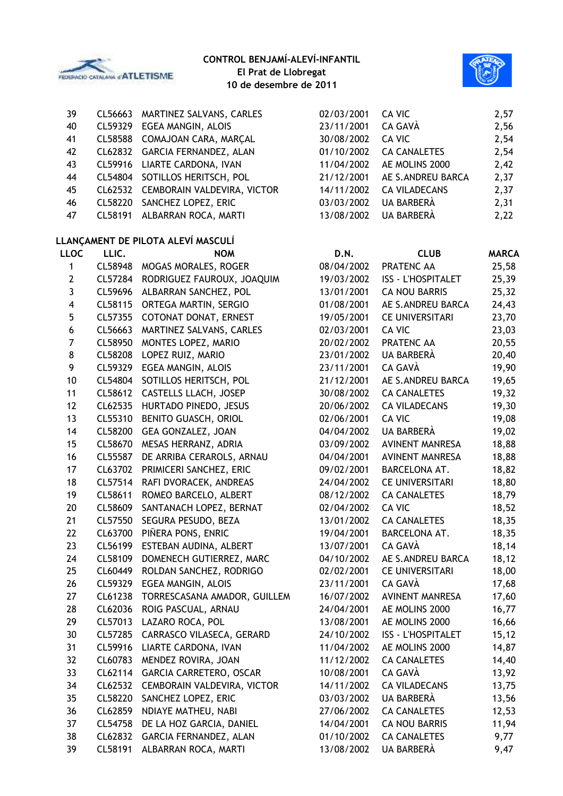



| 39 |         | CL56663 MARTINEZ SALVANS, CARLES    | 02/03/2001 | CA VIC               | 2,57 |
|----|---------|-------------------------------------|------------|----------------------|------|
| 40 | CL59329 | EGEA MANGIN, ALOIS                  | 23/11/2001 | CA GAVÀ              | 2,56 |
| 41 |         | CL58588 COMAJOAN CARA, MARÇAL       | 30/08/2002 | CA VIC               | 2,54 |
| 42 |         | CL62832 GARCIA FERNANDEZ, ALAN      | 01/10/2002 | <b>CA CANALETES</b>  | 2,54 |
| 43 |         | CL59916 LIARTE CARDONA, IVAN        | 11/04/2002 | AE MOLINS 2000       | 2,42 |
| 44 |         | CL54804 SOTILLOS HERITSCH, POL      | 21/12/2001 | AE S.ANDREU BARCA    | 2,37 |
| 45 |         | CL62532 CEMBORAIN VALDEVIRA, VICTOR | 14/11/2002 | <b>CA VILADECANS</b> | 2,37 |
| 46 | CL58220 | SANCHEZ LOPEZ, ERIC                 | 03/03/2002 | UA BARBERÀ           | 2,31 |
| 47 | CL58191 | ALBARRAN ROCA, MARTI                | 13/08/2002 | UA BARBERÀ           | 2,22 |
|    |         |                                     |            |                      |      |

## **LLANÇAMENT DE PILOTA ALEVÍ MASCULÍ**

| <b>LLOC</b>    | LLIC.   | <b>NOM</b>                     | D.N.       | <b>CLUB</b>               | <b>MARCA</b> |
|----------------|---------|--------------------------------|------------|---------------------------|--------------|
| 1              | CL58948 | MOGAS MORALES, ROGER           | 08/04/2002 | PRATENC AA                | 25,58        |
| $\mathbf{2}$   | CL57284 | RODRIGUEZ FAUROUX, JOAQUIM     | 19/03/2002 | ISS - L'HOSPITALET        | 25,39        |
| 3              | CL59696 | ALBARRAN SANCHEZ, POL          | 13/01/2001 | <b>CA NOU BARRIS</b>      | 25,32        |
| 4              | CL58115 | ORTEGA MARTIN, SERGIO          | 01/08/2001 | AE S.ANDREU BARCA         | 24,43        |
| 5              | CL57355 | COTONAT DONAT, ERNEST          | 19/05/2001 | <b>CE UNIVERSITARI</b>    | 23,70        |
| 6              | CL56663 | MARTINEZ SALVANS, CARLES       | 02/03/2001 | CA VIC                    | 23,03        |
| $\overline{7}$ | CL58950 | MONTES LOPEZ, MARIO            | 20/02/2002 | PRATENC AA                | 20,55        |
| 8              | CL58208 | LOPEZ RUIZ, MARIO              | 23/01/2002 | UA BARBERÀ                | 20,40        |
| 9              | CL59329 | EGEA MANGIN, ALOIS             | 23/11/2001 | CA GAVÀ                   | 19,90        |
| 10             | CL54804 | SOTILLOS HERITSCH, POL         | 21/12/2001 | AE S.ANDREU BARCA         | 19,65        |
| 11             | CL58612 | CASTELLS LLACH, JOSEP          | 30/08/2002 | <b>CA CANALETES</b>       | 19,32        |
| 12             | CL62535 | HURTADO PINEDO, JESUS          | 20/06/2002 | <b>CA VILADECANS</b>      | 19,30        |
| 13             | CL55310 | BENITO GUASCH, ORIOL           | 02/06/2001 | CA VIC                    | 19,08        |
| 14             | CL58200 | GEA GONZALEZ, JOAN             | 04/04/2002 | <b>UA BARBERÀ</b>         | 19,02        |
| 15             | CL58670 | MESAS HERRANZ, ADRIA           | 03/09/2002 | <b>AVINENT MANRESA</b>    | 18,88        |
| 16             | CL55587 | DE ARRIBA CERAROLS, ARNAU      | 04/04/2001 | <b>AVINENT MANRESA</b>    | 18,88        |
| 17             | CL63702 | PRIMICERI SANCHEZ, ERIC        | 09/02/2001 | BARCELONA AT.             | 18,82        |
| 18             | CL57514 | RAFI DVORACEK, ANDREAS         | 24/04/2002 | <b>CE UNIVERSITARI</b>    | 18,80        |
| 19             | CL58611 | ROMEO BARCELO, ALBERT          | 08/12/2002 | <b>CA CANALETES</b>       | 18,79        |
| 20             | CL58609 | SANTANACH LOPEZ, BERNAT        | 02/04/2002 | CA VIC                    | 18,52        |
| 21             | CL57550 | SEGURA PESUDO, BEZA            | 13/01/2002 | <b>CA CANALETES</b>       | 18,35        |
| 22             | CL63700 | PIÑERA PONS, ENRIC             | 19/04/2001 | BARCELONA AT.             | 18,35        |
| 23             | CL56199 | ESTEBAN AUDINA, ALBERT         | 13/07/2001 | CA GAVÀ                   | 18,14        |
| 24             | CL58109 | DOMENECH GUTIERREZ, MARC       | 04/10/2002 | AE S.ANDREU BARCA         | 18,12        |
| 25             | CL60449 | ROLDAN SANCHEZ, RODRIGO        | 02/02/2001 | <b>CE UNIVERSITARI</b>    | 18,00        |
| 26             | CL59329 | EGEA MANGIN, ALOIS             | 23/11/2001 | CA GAVÀ                   | 17,68        |
| 27             | CL61238 | TORRESCASANA AMADOR, GUILLEM   | 16/07/2002 | <b>AVINENT MANRESA</b>    | 17,60        |
| 28             | CL62036 | ROIG PASCUAL, ARNAU            | 24/04/2001 | AE MOLINS 2000            | 16,77        |
| 29             | CL57013 | LAZARO ROCA, POL               | 13/08/2001 | AE MOLINS 2000            | 16,66        |
| 30             | CL57285 | CARRASCO VILASECA, GERARD      | 24/10/2002 | <b>ISS - L'HOSPITALET</b> | 15, 12       |
| 31             | CL59916 | LIARTE CARDONA, IVAN           | 11/04/2002 | AE MOLINS 2000            | 14,87        |
| 32             | CL60783 | MENDEZ ROVIRA, JOAN            | 11/12/2002 | <b>CA CANALETES</b>       | 14,40        |
| 33             | CL62114 | <b>GARCIA CARRETERO, OSCAR</b> | 10/08/2001 | CA GAVÀ                   | 13,92        |
| 34             | CL62532 | CEMBORAIN VALDEVIRA, VICTOR    | 14/11/2002 | <b>CA VILADECANS</b>      | 13,75        |
| 35             | CL58220 | SANCHEZ LOPEZ, ERIC            | 03/03/2002 | UA BARBERÀ                | 13,56        |
| 36             | CL62859 | NDIAYE MATHEU, NABI            | 27/06/2002 | <b>CA CANALETES</b>       | 12,53        |
| 37             | CL54758 | DE LA HOZ GARCIA, DANIEL       | 14/04/2001 | <b>CA NOU BARRIS</b>      | 11,94        |
| 38             | CL62832 | GARCIA FERNANDEZ, ALAN         | 01/10/2002 | <b>CA CANALETES</b>       | 9,77         |
| 39             | CL58191 | ALBARRAN ROCA, MARTI           | 13/08/2002 | UA BARBERÀ                | 9,47         |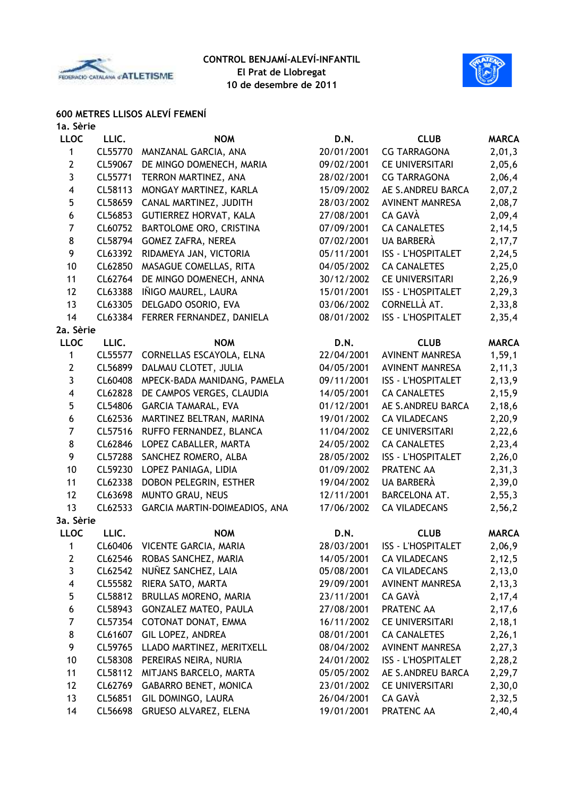



## **600 METRES LLISOS ALEVÍ FEMENÍ**

| 1a. Sèrie      |         |                               |            |                           |              |
|----------------|---------|-------------------------------|------------|---------------------------|--------------|
| <b>LLOC</b>    | LLIC.   | <b>NOM</b>                    | D.N.       | <b>CLUB</b>               | <b>MARCA</b> |
| 1              | CL55770 | MANZANAL GARCIA, ANA          | 20/01/2001 | <b>CG TARRAGONA</b>       | 2,01,3       |
| $\mathbf{2}$   | CL59067 | DE MINGO DOMENECH, MARIA      | 09/02/2001 | <b>CE UNIVERSITARI</b>    | 2,05,6       |
| 3              | CL55771 | TERRON MARTINEZ, ANA          | 28/02/2001 | <b>CG TARRAGONA</b>       | 2,06,4       |
| 4              | CL58113 | MONGAY MARTINEZ, KARLA        | 15/09/2002 | AE S.ANDREU BARCA         | 2,07,2       |
| 5              | CL58659 | CANAL MARTINEZ, JUDITH        | 28/03/2002 | <b>AVINENT MANRESA</b>    | 2,08,7       |
| 6              | CL56853 | <b>GUTIERREZ HORVAT, KALA</b> | 27/08/2001 | CA GAVÀ                   | 2,09,4       |
| $\overline{7}$ | CL60752 | BARTOLOME ORO, CRISTINA       | 07/09/2001 | <b>CA CANALETES</b>       | 2, 14, 5     |
| 8              | CL58794 | <b>GOMEZ ZAFRA, NEREA</b>     | 07/02/2001 | UA BARBERÀ                | 2,17,7       |
| 9              | CL63392 | RIDAMEYA JAN, VICTORIA        | 05/11/2001 | ISS - L'HOSPITALET        | 2,24,5       |
| 10             | CL62850 | MASAGUE COMELLAS, RITA        | 04/05/2002 | <b>CA CANALETES</b>       | 2,25,0       |
| 11             | CL62764 | DE MINGO DOMENECH, ANNA       | 30/12/2002 | <b>CE UNIVERSITARI</b>    | 2,26,9       |
| 12             | CL63388 | IÑIGO MAUREL, LAURA           | 15/01/2001 | <b>ISS - L'HOSPITALET</b> | 2, 29, 3     |
| 13             | CL63305 | DELGADO OSORIO, EVA           | 03/06/2002 | CORNELLÀ AT.              | 2,33,8       |
| 14             | CL63384 | FERRER FERNANDEZ, DANIELA     | 08/01/2002 | ISS - L'HOSPITALET        | 2,35,4       |
| 2a. Sèrie      |         |                               |            |                           |              |
| <b>LLOC</b>    | LLIC.   | <b>NOM</b>                    | D.N.       | <b>CLUB</b>               | <b>MARCA</b> |
| $\mathbf{1}$   | CL55577 | CORNELLAS ESCAYOLA, ELNA      | 22/04/2001 | <b>AVINENT MANRESA</b>    | 1, 59, 1     |
| $\mathbf{2}$   | CL56899 | DALMAU CLOTET, JULIA          | 04/05/2001 | <b>AVINENT MANRESA</b>    | 2, 11, 3     |
| 3              | CL60408 | MPECK-BADA MANIDANG, PAMELA   | 09/11/2001 | <b>ISS - L'HOSPITALET</b> | 2,13,9       |
| 4              | CL62828 | DE CAMPOS VERGES, CLAUDIA     | 14/05/2001 | <b>CA CANALETES</b>       | 2,15,9       |
| 5              | CL54806 | <b>GARCIA TAMARAL, EVA</b>    | 01/12/2001 | AE S.ANDREU BARCA         | 2,18,6       |
| 6              | CL62536 | MARTINEZ BELTRAN, MARINA      | 19/01/2002 | <b>CA VILADECANS</b>      | 2,20,9       |
| $\overline{7}$ | CL57516 | RUFFO FERNANDEZ, BLANCA       | 11/04/2002 | <b>CE UNIVERSITARI</b>    | 2,22,6       |
| 8              | CL62846 | LOPEZ CABALLER, MARTA         | 24/05/2002 | <b>CA CANALETES</b>       | 2,23,4       |
| 9              | CL57288 | SANCHEZ ROMERO, ALBA          | 28/05/2002 | <b>ISS - L'HOSPITALET</b> | 2,26,0       |
| 10             | CL59230 | LOPEZ PANIAGA, LIDIA          | 01/09/2002 | PRATENC AA                | 2, 31, 3     |
| 11             | CL62338 | DOBON PELEGRIN, ESTHER        | 19/04/2002 | UA BARBERÀ                | 2,39,0       |
| 12             | CL63698 | MUNTO GRAU, NEUS              | 12/11/2001 | BARCELONA AT.             | 2,55,3       |
| 13             | CL62533 | GARCIA MARTIN-DOIMEADIOS, ANA | 17/06/2002 | <b>CA VILADECANS</b>      | 2,56,2       |
| 3a. Sèrie      |         |                               |            |                           |              |
| <b>LLOC</b>    | LLIC.   | <b>NOM</b>                    | D.N.       | <b>CLUB</b>               | <b>MARCA</b> |
| $\mathbf 1$    |         | CL60406 VICENTE GARCIA, MARIA | 28/03/2001 | ISS - L'HOSPITALET        | 2,06,9       |
| 2              |         | CL62546 ROBAS SANCHEZ, MARIA  | 14/05/2001 | <b>CA VILADECANS</b>      | 2,12,5       |
| $\mathbf{3}$   | CL62542 | NUÑEZ SANCHEZ, LAIA           | 05/08/2001 | <b>CA VILADECANS</b>      | 2,13,0       |
| 4              | CL55582 | RIERA SATO, MARTA             | 29/09/2001 | <b>AVINENT MANRESA</b>    | 2, 13, 3     |
| 5              | CL58812 | BRULLAS MORENO, MARIA         | 23/11/2001 | CA GAVÀ                   | 2,17,4       |
| 6              | CL58943 | <b>GONZALEZ MATEO, PAULA</b>  | 27/08/2001 | PRATENC AA                | 2,17,6       |
| $\overline{7}$ | CL57354 | COTONAT DONAT, EMMA           | 16/11/2002 | <b>CE UNIVERSITARI</b>    | 2,18,1       |
| 8              | CL61607 | GIL LOPEZ, ANDREA             | 08/01/2001 | <b>CA CANALETES</b>       | 2,26,1       |
| 9              | CL59765 | LLADO MARTINEZ, MERITXELL     | 08/04/2002 | <b>AVINENT MANRESA</b>    | 2, 27, 3     |
| 10             | CL58308 | PEREIRAS NEIRA, NURIA         | 24/01/2002 | <b>ISS - L'HOSPITALET</b> | 2,28,2       |
| 11             | CL58112 | MITJANS BARCELO, MARTA        | 05/05/2002 | AE S.ANDREU BARCA         | 2,29,7       |
| 12             | CL62769 | <b>GABARRO BENET, MONICA</b>  | 23/01/2002 | <b>CE UNIVERSITARI</b>    | 2,30,0       |
| 13             | CL56851 | GIL DOMINGO, LAURA            | 26/04/2001 | CA GAVÀ                   | 2,32,5       |
|                |         |                               |            |                           |              |

CL56698 GRUESO ALVAREZ, ELENA 19/01/2001 PRATENC AA 2,40,4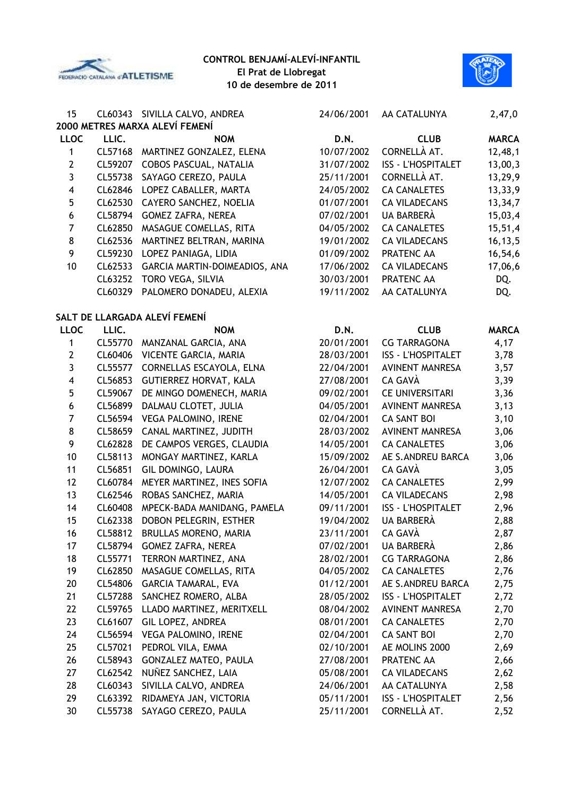



| 15                      |         | CL60343 SIVILLA CALVO, ANDREA  | 24/06/2001 | AA CATALUNYA              | 2,47,0       |
|-------------------------|---------|--------------------------------|------------|---------------------------|--------------|
|                         |         | 2000 METRES MARXA ALEVÍ FEMENÍ |            |                           |              |
| <b>LLOC</b>             | LLIC.   | <b>NOM</b>                     | D.N.       | <b>CLUB</b>               | <b>MARCA</b> |
| 1                       | CL57168 | MARTINEZ GONZALEZ, ELENA       | 10/07/2002 | CORNELLÀ AT.              | 12,48,1      |
| $\mathbf{2}$            | CL59207 | COBOS PASCUAL, NATALIA         | 31/07/2002 | <b>ISS - L'HOSPITALET</b> | 13,00,3      |
| 3                       | CL55738 | SAYAGO CEREZO, PAULA           | 25/11/2001 | CORNELLÀ AT.              | 13,29,9      |
| $\overline{4}$          | CL62846 | LOPEZ CABALLER, MARTA          | 24/05/2002 | <b>CA CANALETES</b>       | 13,33,9      |
| 5                       | CL62530 | CAYERO SANCHEZ, NOELIA         | 01/07/2001 | <b>CA VILADECANS</b>      | 13,34,7      |
| $\boldsymbol{6}$        | CL58794 | <b>GOMEZ ZAFRA, NEREA</b>      | 07/02/2001 | UA BARBERÀ                | 15,03,4      |
| $\overline{7}$          | CL62850 | MASAGUE COMELLAS, RITA         | 04/05/2002 | <b>CA CANALETES</b>       | 15,51,4      |
| 8                       | CL62536 | MARTINEZ BELTRAN, MARINA       | 19/01/2002 | <b>CA VILADECANS</b>      | 16, 13, 5    |
| 9                       | CL59230 | LOPEZ PANIAGA, LIDIA           | 01/09/2002 | PRATENC AA                | 16,54,6      |
| 10                      | CL62533 | GARCIA MARTIN-DOIMEADIOS, ANA  | 17/06/2002 | <b>CA VILADECANS</b>      | 17,06,6      |
|                         | CL63252 | TORO VEGA, SILVIA              | 30/03/2001 | PRATENC AA                | DQ.          |
|                         | CL60329 | PALOMERO DONADEU, ALEXIA       | 19/11/2002 | AA CATALUNYA              | DQ.          |
|                         |         | SALT DE LLARGADA ALEVÍ FEMENÍ  |            |                           |              |
| <b>LLOC</b>             | LLIC.   | <b>NOM</b>                     | D.N.       | <b>CLUB</b>               | <b>MARCA</b> |
| 1                       | CL55770 | MANZANAL GARCIA, ANA           | 20/01/2001 | <b>CG TARRAGONA</b>       | 4,17         |
| $\overline{2}$          | CL60406 | VICENTE GARCIA, MARIA          | 28/03/2001 | <b>ISS - L'HOSPITALET</b> | 3,78         |
| 3                       | CL55577 | CORNELLAS ESCAYOLA, ELNA       | 22/04/2001 | <b>AVINENT MANRESA</b>    | 3,57         |
| $\overline{\mathbf{4}}$ | CL56853 | GUTIERREZ HORVAT, KALA         | 27/08/2001 | CA GAVÀ                   | 3,39         |
| 5                       | CL59067 | DE MINGO DOMENECH, MARIA       | 09/02/2001 | <b>CE UNIVERSITARI</b>    | 3,36         |
| 6                       | CL56899 | DALMAU CLOTET, JULIA           | 04/05/2001 | <b>AVINENT MANRESA</b>    | 3,13         |
| $\overline{7}$          | CL56594 | VEGA PALOMINO, IRENE           | 02/04/2001 | <b>CA SANT BOI</b>        | 3,10         |
| 8                       | CL58659 | CANAL MARTINEZ, JUDITH         | 28/03/2002 | <b>AVINENT MANRESA</b>    | 3,06         |
| 9                       | CL62828 | DE CAMPOS VERGES, CLAUDIA      | 14/05/2001 | <b>CA CANALETES</b>       | 3,06         |
| 10                      | CL58113 | MONGAY MARTINEZ, KARLA         | 15/09/2002 | AE S.ANDREU BARCA         | 3,06         |
| 11                      | CL56851 | GIL DOMINGO, LAURA             | 26/04/2001 | CA GAVÀ                   | 3,05         |
| 12                      | CL60784 | MEYER MARTINEZ, INES SOFIA     | 12/07/2002 | <b>CA CANALETES</b>       | 2,99         |
| 13                      | CL62546 | ROBAS SANCHEZ, MARIA           | 14/05/2001 | <b>CA VILADECANS</b>      | 2,98         |
| 14                      | CL60408 | MPECK-BADA MANIDANG, PAMELA    | 09/11/2001 | <b>ISS - L'HOSPITALET</b> | 2,96         |
| 15                      | CL62338 | DOBON PELEGRIN, ESTHER         | 19/04/2002 | UA BARBERÀ                | 2,88         |
| 16                      | CL58812 | BRULLAS MORENO, MARIA          | 23/11/2001 | CA GAVÀ                   | 2,87         |
| 17                      | CL58794 | GOMEZ ZAFRA, NEREA             | 07/02/2001 | UA BARBERÀ                | 2,86         |
| 18                      | CL55771 | TERRON MARTINEZ, ANA           | 28/02/2001 | <b>CG TARRAGONA</b>       | 2,86         |
| 19                      | CL62850 | MASAGUE COMELLAS, RITA         | 04/05/2002 | <b>CA CANALETES</b>       | 2,76         |
| 20                      | CL54806 | <b>GARCIA TAMARAL, EVA</b>     | 01/12/2001 | AE S.ANDREU BARCA         | 2,75         |
| 21                      | CL57288 | SANCHEZ ROMERO, ALBA           | 28/05/2002 | <b>ISS - L'HOSPITALET</b> | 2,72         |
| 22                      | CL59765 | LLADO MARTINEZ, MERITXELL      | 08/04/2002 | <b>AVINENT MANRESA</b>    | 2,70         |
| 23                      | CL61607 | GIL LOPEZ, ANDREA              | 08/01/2001 | <b>CA CANALETES</b>       | 2,70         |
| 24                      | CL56594 | VEGA PALOMINO, IRENE           | 02/04/2001 | <b>CA SANT BOI</b>        | 2,70         |
| 25                      | CL57021 | PEDROL VILA, EMMA              | 02/10/2001 | AE MOLINS 2000            | 2,69         |
| 26                      | CL58943 | <b>GONZALEZ MATEO, PAULA</b>   | 27/08/2001 | PRATENC AA                | 2,66         |
| 27                      | CL62542 | NUÑEZ SANCHEZ, LAIA            | 05/08/2001 | <b>CA VILADECANS</b>      | 2,62         |
| 28                      | CL60343 | SIVILLA CALVO, ANDREA          | 24/06/2001 | AA CATALUNYA              | 2,58         |
| 29                      | CL63392 | RIDAMEYA JAN, VICTORIA         | 05/11/2001 | <b>ISS - L'HOSPITALET</b> | 2,56         |
| 30                      | CL55738 | SAYAGO CEREZO, PAULA           | 25/11/2001 | CORNELLÀ AT.              | 2,52         |
|                         |         |                                |            |                           |              |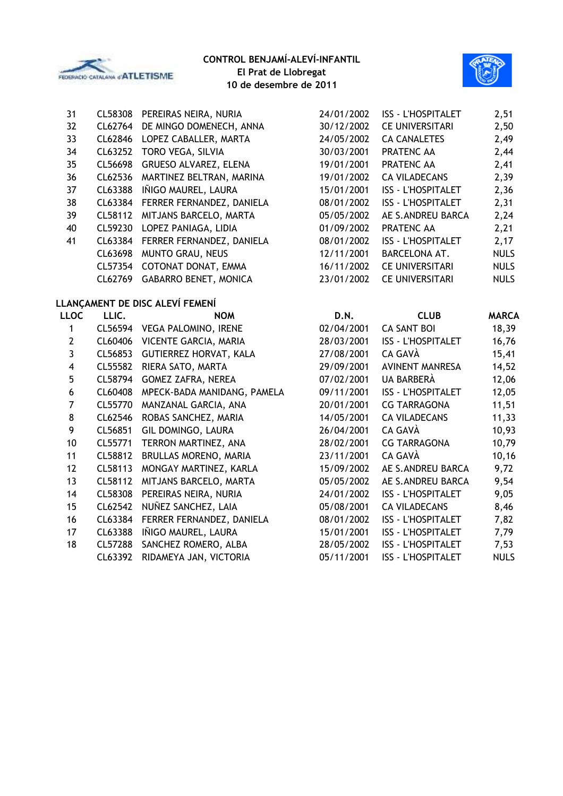



| 31                      | CL58308 | PEREIRAS NEIRA, NURIA           | 24/01/2002 | <b>ISS - L'HOSPITALET</b> | 2,51         |
|-------------------------|---------|---------------------------------|------------|---------------------------|--------------|
| 32                      | CL62764 | DE MINGO DOMENECH, ANNA         | 30/12/2002 | <b>CE UNIVERSITARI</b>    | 2,50         |
| 33                      | CL62846 | LOPEZ CABALLER, MARTA           | 24/05/2002 | <b>CA CANALETES</b>       | 2,49         |
| 34                      | CL63252 | TORO VEGA, SILVIA               | 30/03/2001 | PRATENC AA                | 2,44         |
| 35                      | CL56698 | GRUESO ALVAREZ, ELENA           | 19/01/2001 | PRATENC AA                | 2,41         |
| 36                      | CL62536 | MARTINEZ BELTRAN, MARINA        | 19/01/2002 | <b>CA VILADECANS</b>      | 2,39         |
| 37                      | CL63388 | IÑIGO MAUREL, LAURA             | 15/01/2001 | <b>ISS - L'HOSPITALET</b> | 2,36         |
| 38                      | CL63384 | FERRER FERNANDEZ, DANIELA       | 08/01/2002 | <b>ISS - L'HOSPITALET</b> | 2,31         |
| 39                      | CL58112 | MITJANS BARCELO, MARTA          | 05/05/2002 | AE S.ANDREU BARCA         | 2,24         |
| 40                      | CL59230 | LOPEZ PANIAGA, LIDIA            | 01/09/2002 | PRATENC AA                | 2,21         |
| 41                      | CL63384 | FERRER FERNANDEZ, DANIELA       | 08/01/2002 | <b>ISS - L'HOSPITALET</b> | 2,17         |
|                         | CL63698 | MUNTO GRAU, NEUS                | 12/11/2001 | BARCELONA AT.             | <b>NULS</b>  |
|                         | CL57354 | COTONAT DONAT, EMMA             | 16/11/2002 | <b>CE UNIVERSITARI</b>    | <b>NULS</b>  |
|                         | CL62769 | <b>GABARRO BENET, MONICA</b>    | 23/01/2002 | <b>CE UNIVERSITARI</b>    | <b>NULS</b>  |
|                         |         | LLANÇAMENT DE DISC ALEVÍ FEMENÍ |            |                           |              |
| <b>LLOC</b>             | LLIC.   | <b>NOM</b>                      | D.N.       | <b>CLUB</b>               | <b>MARCA</b> |
| $\mathbf{1}$            | CL56594 | <b>VEGA PALOMINO, IRENE</b>     | 02/04/2001 | <b>CA SANT BOI</b>        | 18,39        |
| $\mathbf{2}$            | CL60406 | VICENTE GARCIA, MARIA           | 28/03/2001 | <b>ISS - L'HOSPITALET</b> | 16,76        |
| 3                       | CL56853 | <b>GUTIERREZ HORVAT, KALA</b>   | 27/08/2001 | CA GAVÀ                   | 15,41        |
| $\overline{\mathbf{4}}$ | CL55582 | RIERA SATO, MARTA               | 29/09/2001 | <b>AVINENT MANRESA</b>    | 14,52        |
| 5                       | CL58794 | <b>GOMEZ ZAFRA, NEREA</b>       | 07/02/2001 | UA BARBERÀ                | 12,06        |
| $\boldsymbol{6}$        | CL60408 | MPECK-BADA MANIDANG, PAMELA     | 09/11/2001 | <b>ISS - L'HOSPITALET</b> | 12,05        |
| $\overline{7}$          | CL55770 | MANZANAL GARCIA, ANA            | 20/01/2001 | <b>CG TARRAGONA</b>       | 11,51        |
| 8                       | CL62546 | ROBAS SANCHEZ, MARIA            | 14/05/2001 | <b>CA VILADECANS</b>      | 11,33        |
| 9                       | CL56851 | GIL DOMINGO, LAURA              | 26/04/2001 | CA GAVÀ                   | 10,93        |
| 10                      | CL55771 | TERRON MARTINEZ, ANA            | 28/02/2001 | <b>CG TARRAGONA</b>       | 10,79        |
| 11                      | CL58812 | BRULLAS MORENO, MARIA           | 23/11/2001 | CA GAVÀ                   | 10, 16       |
| 12                      | CL58113 | MONGAY MARTINEZ, KARLA          | 15/09/2002 | AE S.ANDREU BARCA         | 9,72         |
| 13                      | CL58112 | MITJANS BARCELO, MARTA          | 05/05/2002 | AE S.ANDREU BARCA         | 9,54         |
| 14                      | CL58308 | PEREIRAS NEIRA, NURIA           | 24/01/2002 | <b>ISS - L'HOSPITALET</b> | 9,05         |
| 15                      | CL62542 | NUÑEZ SANCHEZ, LAIA             | 05/08/2001 | <b>CA VILADECANS</b>      | 8,46         |
| 16                      | CL63384 | FERRER FERNANDEZ, DANIELA       | 08/01/2002 | <b>ISS - L'HOSPITALET</b> | 7,82         |
| 17                      | CL63388 | IÑIGO MAUREL, LAURA             | 15/01/2001 | <b>ISS - L'HOSPITALET</b> | 7,79         |
| 18                      | CL57288 | SANCHEZ ROMERO, ALBA            | 28/05/2002 | <b>ISS - L'HOSPITALET</b> | 7,53         |
|                         | CL63392 | RIDAMEYA JAN, VICTORIA          | 05/11/2001 | ISS - L'HOSPITALET        | <b>NULS</b>  |
|                         |         |                                 |            |                           |              |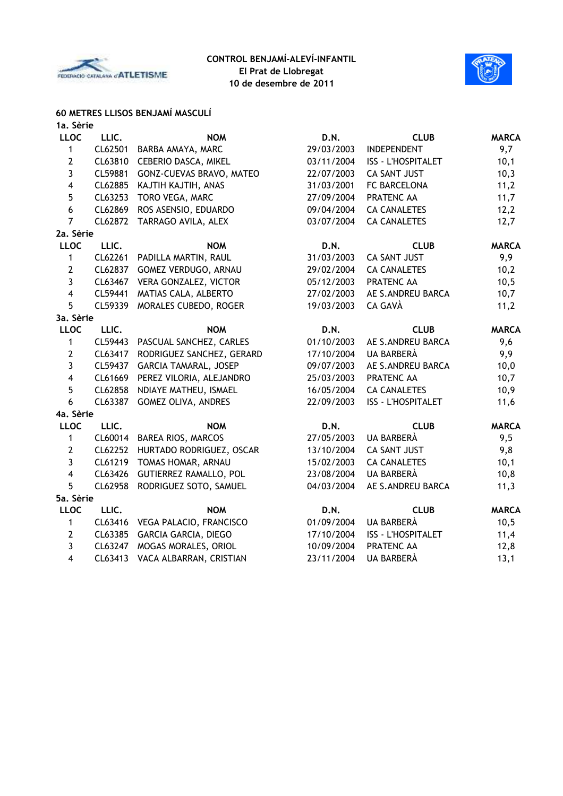



#### **60 METRES LLISOS BENJAMÍ MASCULÍ 1a. Sèrie**

| та, зепе                |         |                                  |            |                           |              |
|-------------------------|---------|----------------------------------|------------|---------------------------|--------------|
| <b>LLOC</b>             | LLIC.   | <b>NOM</b>                       | D.N.       | <b>CLUB</b>               | <b>MARCA</b> |
| $\mathbf{1}$            | CL62501 | BARBA AMAYA, MARC                | 29/03/2003 | <b>INDEPENDENT</b>        | 9,7          |
| $\mathbf{2}$            |         | CL63810 CEBERIO DASCA, MIKEL     | 03/11/2004 | ISS - L'HOSPITALET        | 10,1         |
| 3                       | CL59881 | GONZ-CUEVAS BRAVO, MATEO         | 22/07/2003 | <b>CA SANT JUST</b>       | 10,3         |
| $\overline{\mathbf{4}}$ | CL62885 | KAJTIH KAJTIH, ANAS              | 31/03/2001 | FC BARCELONA              | 11,2         |
| 5                       | CL63253 | TORO VEGA, MARC                  | 27/09/2004 | PRATENC AA                | 11,7         |
| 6                       | CL62869 | ROS ASENSIO, EDUARDO             | 09/04/2004 | <b>CA CANALETES</b>       | 12,2         |
| $\overline{7}$          | CL62872 | TARRAGO AVILA, ALEX              | 03/07/2004 | <b>CA CANALETES</b>       | 12,7         |
| 2a. Sèrie               |         |                                  |            |                           |              |
| <b>LLOC</b>             | LLIC.   | <b>NOM</b>                       | D.N.       | <b>CLUB</b>               | <b>MARCA</b> |
| $\mathbf{1}$            |         | CL62261 PADILLA MARTIN, RAUL     | 31/03/2003 | <b>CA SANT JUST</b>       | 9,9          |
| $\mathbf{2}$            |         | CL62837 GOMEZ VERDUGO, ARNAU     | 29/02/2004 | <b>CA CANALETES</b>       | 10,2         |
| $\mathbf{3}$            |         | CL63467 VERA GONZALEZ, VICTOR    | 05/12/2003 | PRATENC AA                | 10,5         |
| $\overline{\mathbf{4}}$ |         | CL59441 MATIAS CALA, ALBERTO     | 27/02/2003 | AE S.ANDREU BARCA         | 10,7         |
| 5                       |         | CL59339 MORALES CUBEDO, ROGER    | 19/03/2003 | CA GAVÀ                   | 11,2         |
| 3a. Sèrie               |         |                                  |            |                           |              |
| <b>LLOC</b>             | LLIC.   | <b>NOM</b>                       | D.N.       | <b>CLUB</b>               | <b>MARCA</b> |
| $\mathbf{1}$            |         | CL59443 PASCUAL SANCHEZ, CARLES  | 01/10/2003 | AE S.ANDREU BARCA         | 9,6          |
| $\mathbf{2}$            | CL63417 | RODRIGUEZ SANCHEZ, GERARD        | 17/10/2004 | UA BARBERÀ                | 9,9          |
| $\mathbf{3}$            | CL59437 | GARCIA TAMARAL, JOSEP            | 09/07/2003 | AE S.ANDREU BARCA         | 10,0         |
| $\overline{\mathbf{4}}$ | CL61669 | PEREZ VILORIA, ALEJANDRO         | 25/03/2003 | PRATENC AA                | 10,7         |
| 5                       | CL62858 | NDIAYE MATHEU, ISMAEL            | 16/05/2004 | <b>CA CANALETES</b>       | 10,9         |
| 6                       | CL63387 | GOMEZ OLIVA, ANDRES              | 22/09/2003 | <b>ISS - L'HOSPITALET</b> | 11,6         |
| 4a. Sèrie               |         |                                  |            |                           |              |
| <b>LLOC</b>             | LLIC.   | <b>NOM</b>                       | D.N.       | <b>CLUB</b>               | <b>MARCA</b> |
| 1                       | CL60014 | BAREA RIOS, MARCOS               | 27/05/2003 | UA BARBERÀ                | 9,5          |
| $\mathbf{2}$            |         | CL62252 HURTADO RODRIGUEZ, OSCAR | 13/10/2004 | CA SANT JUST              | 9,8          |
| $\mathbf{3}$            |         | CL61219 TOMAS HOMAR, ARNAU       | 15/02/2003 | <b>CA CANALETES</b>       | 10,1         |
| $\overline{\mathbf{4}}$ |         | CL63426 GUTIERREZ RAMALLO, POL   | 23/08/2004 | UA BARBERÀ                | 10,8         |
| 5                       | CL62958 | RODRIGUEZ SOTO, SAMUEL           | 04/03/2004 | AE S.ANDREU BARCA         | 11,3         |
| 5a. Sèrie               |         |                                  |            |                           |              |
| <b>LLOC</b>             | LLIC.   | <b>NOM</b>                       | D.N.       | <b>CLUB</b>               | <b>MARCA</b> |
| 1                       |         | CL63416 VEGA PALACIO, FRANCISCO  | 01/09/2004 | UA BARBERÀ                | 10,5         |
| $\mathbf{2}$            |         | CL63385 GARCIA GARCIA, DIEGO     | 17/10/2004 | <b>ISS - L'HOSPITALET</b> | 11,4         |
| 3                       |         | CL63247 MOGAS MORALES, ORIOL     | 10/09/2004 | PRATENC AA                | 12,8         |
| $\overline{\mathbf{4}}$ | CL63413 | VACA ALBARRAN, CRISTIAN          | 23/11/2004 | UA BARBERÀ                | 13,1         |
|                         |         |                                  |            |                           |              |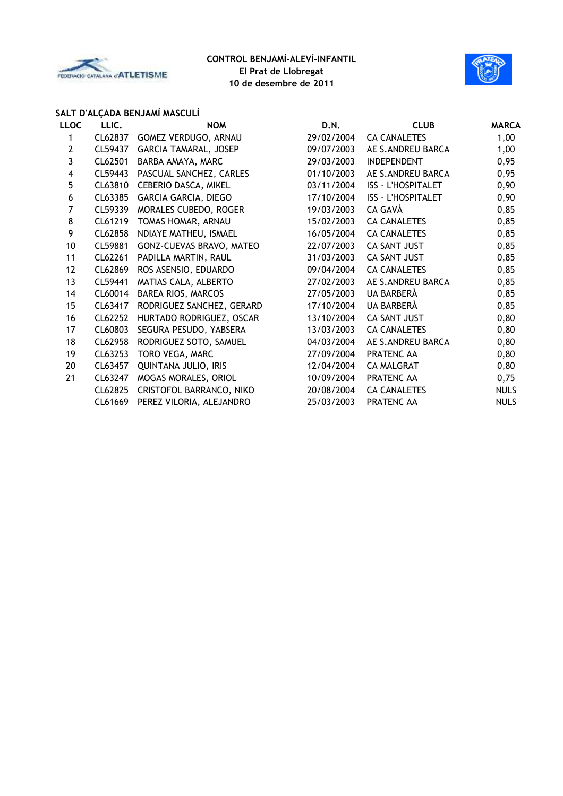



# **SALT D'ALÇADA BENJAMÍ MASCULÍ**

| <b>LLOC</b>             | LLIC.   | <b>NOM</b>                | D.N.       | <b>CLUB</b>               | <b>MARCA</b> |
|-------------------------|---------|---------------------------|------------|---------------------------|--------------|
| 1                       | CL62837 | GOMEZ VERDUGO, ARNAU      | 29/02/2004 | <b>CA CANALETES</b>       | 1,00         |
| $\overline{2}$          | CL59437 | GARCIA TAMARAL, JOSEP     | 09/07/2003 | AE S.ANDREU BARCA         | 1,00         |
| 3                       | CL62501 | BARBA AMAYA, MARC         | 29/03/2003 | <b>INDEPENDENT</b>        | 0,95         |
| $\overline{\mathbf{4}}$ | CL59443 | PASCUAL SANCHEZ, CARLES   | 01/10/2003 | AE S.ANDREU BARCA         | 0,95         |
| $5\phantom{.0}$         | CL63810 | CEBERIO DASCA, MIKEL      | 03/11/2004 | <b>ISS - L'HOSPITALET</b> | 0,90         |
| 6                       | CL63385 | GARCIA GARCIA, DIEGO      | 17/10/2004 | <b>ISS - L'HOSPITALET</b> | 0,90         |
| 7                       | CL59339 | MORALES CUBEDO, ROGER     | 19/03/2003 | CA GAVÀ                   | 0,85         |
| 8                       | CL61219 | TOMAS HOMAR, ARNAU        | 15/02/2003 | <b>CA CANALETES</b>       | 0,85         |
| 9                       | CL62858 | NDIAYE MATHEU, ISMAEL     | 16/05/2004 | <b>CA CANALETES</b>       | 0,85         |
| 10                      | CL59881 | GONZ-CUEVAS BRAVO, MATEO  | 22/07/2003 | CA SANT JUST              | 0,85         |
| 11                      | CL62261 | PADILLA MARTIN, RAUL      | 31/03/2003 | <b>CA SANT JUST</b>       | 0,85         |
| 12                      | CL62869 | ROS ASENSIO, EDUARDO      | 09/04/2004 | <b>CA CANALETES</b>       | 0,85         |
| 13                      | CL59441 | MATIAS CALA, ALBERTO      | 27/02/2003 | AE S.ANDREU BARCA         | 0,85         |
| 14                      | CL60014 | BAREA RIOS, MARCOS        | 27/05/2003 | UA BARBERÀ                | 0,85         |
| 15                      | CL63417 | RODRIGUEZ SANCHEZ, GERARD | 17/10/2004 | UA BARBERÀ                | 0,85         |
| 16                      | CL62252 | HURTADO RODRIGUEZ, OSCAR  | 13/10/2004 | CA SANT JUST              | 0,80         |
| 17                      | CL60803 | SEGURA PESUDO, YABSERA    | 13/03/2003 | <b>CA CANALETES</b>       | 0,80         |
| 18                      | CL62958 | RODRIGUEZ SOTO, SAMUEL    | 04/03/2004 | AE S.ANDREU BARCA         | 0,80         |
| 19                      | CL63253 | TORO VEGA, MARC           | 27/09/2004 | PRATENC AA                | 0,80         |
| 20                      | CL63457 | QUINTANA JULIO, IRIS      | 12/04/2004 | <b>CA MALGRAT</b>         | 0,80         |
| 21                      | CL63247 | MOGAS MORALES, ORIOL      | 10/09/2004 | PRATENC AA                | 0,75         |
|                         | CL62825 | CRISTOFOL BARRANCO, NIKO  | 20/08/2004 | <b>CA CANALETES</b>       | <b>NULS</b>  |
|                         | CL61669 | PEREZ VILORIA, ALEJANDRO  | 25/03/2003 | PRATENC AA                | <b>NULS</b>  |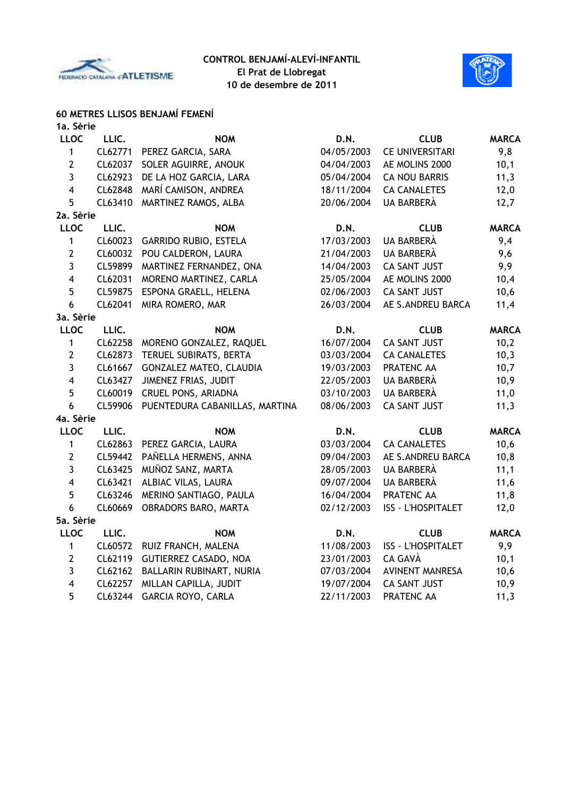



# **60 METRES LLISOS BENJAMÍ FEMENÍ**

| 1a. Sèrie               |         |                                |            |                           |              |
|-------------------------|---------|--------------------------------|------------|---------------------------|--------------|
| <b>LLOC</b>             | LLIC.   | <b>NOM</b>                     | D.N.       | <b>CLUB</b>               | <b>MARCA</b> |
| $\mathbf{1}$            | CL62771 | PEREZ GARCIA, SARA             | 04/05/2003 | <b>CE UNIVERSITARI</b>    | 9,8          |
| $\mathbf{2}$            | CL62037 | SOLER AGUIRRE, ANOUK           | 04/04/2003 | AE MOLINS 2000            | 10,1         |
| $\mathbf{3}$            | CL62923 | DE LA HOZ GARCIA, LARA         | 05/04/2004 | <b>CA NOU BARRIS</b>      | 11,3         |
| $\overline{4}$          | CL62848 | MARÍ CAMISON, ANDREA           | 18/11/2004 | <b>CA CANALETES</b>       | 12,0         |
| 5                       | CL63410 | MARTINEZ RAMOS, ALBA           | 20/06/2004 | UA BARBERÀ                | 12,7         |
| 2a. Sèrie               |         |                                |            |                           |              |
| <b>LLOC</b>             | LLIC.   | <b>NOM</b>                     | D.N.       | <b>CLUB</b>               | <b>MARCA</b> |
| $\mathbf{1}$            | CL60023 | <b>GARRIDO RUBIO, ESTELA</b>   | 17/03/2003 | UA BARBERÀ                | 9,4          |
| $\mathbf{2}$            | CL60032 | POU CALDERON, LAURA            | 21/04/2003 | UA BARBERÀ                | 9,6          |
| $\overline{3}$          | CL59899 | MARTINEZ FERNANDEZ, ONA        | 14/04/2003 | CA SANT JUST              | 9,9          |
| $\overline{\mathbf{4}}$ | CL62031 | MORENO MARTINEZ, CARLA         | 25/05/2004 | AE MOLINS 2000            | 10,4         |
| 5                       | CL59875 | ESPONA GRAELL, HELENA          | 02/06/2003 | <b>CA SANT JUST</b>       | 10,6         |
| 6                       | CL62041 | MIRA ROMERO, MAR               | 26/03/2004 | AE S.ANDREU BARCA         | 11,4         |
| 3a. Sèrie               |         |                                |            |                           |              |
| <b>LLOC</b>             | LLIC.   | <b>NOM</b>                     | D.N.       | <b>CLUB</b>               | <b>MARCA</b> |
| 1                       | CL62258 | MORENO GONZALEZ, RAQUEL        | 16/07/2004 | <b>CA SANT JUST</b>       | 10,2         |
| $\mathbf{2}$            | CL62873 | TERUEL SUBIRATS, BERTA         | 03/03/2004 | <b>CA CANALETES</b>       | 10,3         |
| 3                       | CL61667 | GONZALEZ MATEO, CLAUDIA        | 19/03/2003 | PRATENC AA                | 10,7         |
| $\overline{4}$          | CL63427 | JIMENEZ FRIAS, JUDIT           | 22/05/2003 | UA BARBERÀ                | 10,9         |
| 5                       | CL60019 | CRUEL PONS, ARIADNA            | 03/10/2003 | UA BARBERÀ                | 11,0         |
| 6                       | CL59906 | PUENTEDURA CABANILLAS, MARTINA | 08/06/2003 | <b>CA SANT JUST</b>       | 11,3         |
| 4a. Sèrie               |         |                                |            |                           |              |
| <b>LLOC</b>             | LLIC.   | <b>NOM</b>                     | D.N.       | <b>CLUB</b>               | <b>MARCA</b> |
| $\mathbf{1}$            | CL62863 | PEREZ GARCIA, LAURA            | 03/03/2004 | <b>CA CANALETES</b>       | 10,6         |
| $\mathbf{2}$            | CL59442 | PAÑELLA HERMENS, ANNA          | 09/04/2003 | AE S.ANDREU BARCA         | 10,8         |
| $\mathbf{3}$            | CL63425 | MUÑOZ SANZ, MARTA              | 28/05/2003 | UA BARBERÀ                | 11,1         |
| $\overline{\mathbf{4}}$ | CL63421 | ALBIAC VILAS, LAURA            | 09/07/2004 | UA BARBERÀ                | 11,6         |
| 5                       | CL63246 | MERINO SANTIAGO, PAULA         | 16/04/2004 | PRATENC AA                | 11,8         |
| 6                       | CL60669 | OBRADORS BARO, MARTA           | 02/12/2003 | ISS - L'HOSPITALET        | 12,0         |
| 5a. Sèrie               |         |                                |            |                           |              |
| <b>LLOC</b>             | LLIC.   | <b>NOM</b>                     | D.N.       | <b>CLUB</b>               | <b>MARCA</b> |
| $\mathbf{1}$            | CL60572 | RUIZ FRANCH, MALENA            | 11/08/2003 | <b>ISS - L'HOSPITALET</b> | 9,9          |
| $\mathbf{2}$            | CL62119 | <b>GUTIERREZ CASADO, NOA</b>   | 23/01/2003 | CA GAVÀ                   | 10,1         |
| $\mathbf{3}$            | CL62162 | BALLARIN RUBINART, NURIA       | 07/03/2004 | <b>AVINENT MANRESA</b>    | 10,6         |
| $\overline{\mathbf{4}}$ | CL62257 | MILLAN CAPILLA, JUDIT          | 19/07/2004 | <b>CA SANT JUST</b>       | 10,9         |
| 5                       | CL63244 | <b>GARCIA ROYO, CARLA</b>      | 22/11/2003 | PRATENC AA                | 11,3         |